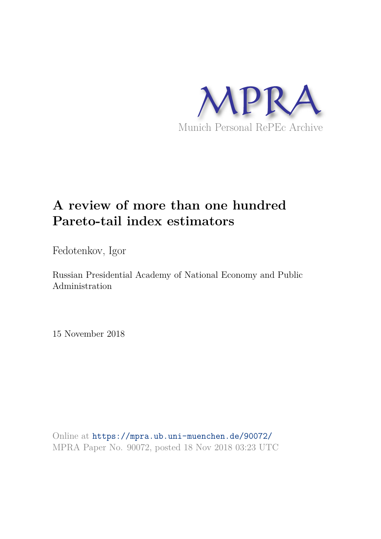

# **A review of more than one hundred Pareto-tail index estimators**

Fedotenkov, Igor

Russian Presidential Academy of National Economy and Public Administration

15 November 2018

Online at https://mpra.ub.uni-muenchen.de/90072/ MPRA Paper No. 90072, posted 18 Nov 2018 03:23 UTC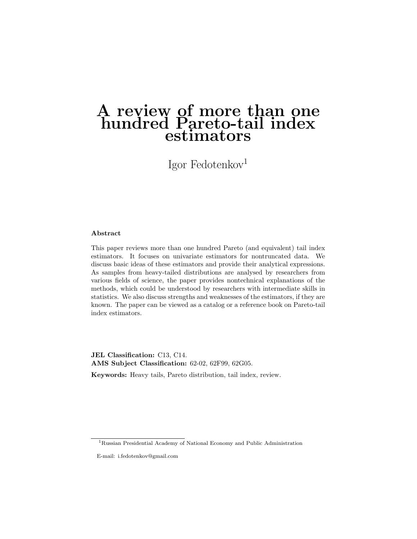# A review of more than one hundred Pareto-tail index estimators

Igor Fedotenkov<sup>1</sup>

#### Abstract

This paper reviews more than one hundred Pareto (and equivalent) tail index estimators. It focuses on univariate estimators for nontruncated data. We discuss basic ideas of these estimators and provide their analytical expressions. As samples from heavy-tailed distributions are analysed by researchers from various fields of science, the paper provides nontechnical explanations of the methods, which could be understood by researchers with intermediate skills in statistics. We also discuss strengths and weaknesses of the estimators, if they are known. The paper can be viewed as a catalog or a reference book on Pareto-tail index estimators.

JEL Classification: C13, C14. AMS Subject Classification: 62-02, 62F99, 62G05.

Keywords: Heavy tails, Pareto distribution, tail index, review.

<sup>1</sup>Russian Presidential Academy of National Economy and Public Administration

E-mail: i.fedotenkov@gmail.com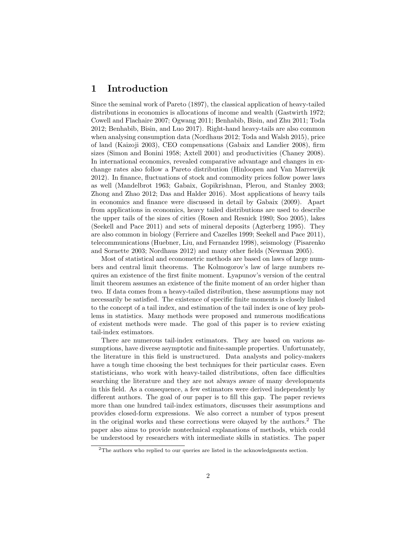# 1 Introduction

Since the seminal work of Pareto (1897), the classical application of heavy-tailed distributions in economics is allocations of income and wealth (Gastwirth 1972; Cowell and Flachaire 2007; Ogwang 2011; Benhabib, Bisin, and Zhu 2011; Toda 2012; Benhabib, Bisin, and Luo 2017). Right-hand heavy-tails are also common when analysing consumption data (Nordhaus 2012; Toda and Walsh 2015), price of land (Kaizoji 2003), CEO compensations (Gabaix and Landier 2008), firm sizes (Simon and Bonini 1958; Axtell 2001) and productivities (Chaney 2008). In international economics, revealed comparative advantage and changes in exchange rates also follow a Pareto distribution (Hinloopen and Van Marrewijk 2012). In finance, fluctuations of stock and commodity prices follow power laws as well (Mandelbrot 1963; Gabaix, Gopikrishnan, Plerou, and Stanley 2003; Zhong and Zhao 2012; Das and Halder 2016). Most applications of heavy tails in economics and finance were discussed in detail by Gabaix (2009). Apart from applications in economics, heavy tailed distributions are used to describe the upper tails of the sizes of cities (Rosen and Resnick 1980; Soo 2005), lakes (Seekell and Pace 2011) and sets of mineral deposits (Agterberg 1995). They are also common in biology (Ferriere and Cazelles 1999; Seekell and Pace 2011), telecommunications (Huebner, Liu, and Fernandez 1998), seismology (Pisarenko and Sornette 2003; Nordhaus 2012) and many other fields (Newman 2005).

Most of statistical and econometric methods are based on laws of large numbers and central limit theorems. The Kolmogorov's law of large numbers requires an existence of the first finite moment. Lyapunov's version of the central limit theorem assumes an existence of the finite moment of an order higher than two. If data comes from a heavy-tailed distribution, these assumptions may not necessarily be satisfied. The existence of specific finite moments is closely linked to the concept of a tail index, and estimation of the tail index is one of key problems in statistics. Many methods were proposed and numerous modifications of existent methods were made. The goal of this paper is to review existing tail-index estimators.

There are numerous tail-index estimators. They are based on various assumptions, have diverse asymptotic and finite-sample properties. Unfortunately, the literature in this field is unstructured. Data analysts and policy-makers have a tough time choosing the best techniques for their particular cases. Even statisticians, who work with heavy-tailed distributions, often face difficulties searching the literature and they are not always aware of many developments in this field. As a consequence, a few estimators were derived independently by different authors. The goal of our paper is to fill this gap. The paper reviews more than one hundred tail-index estimators, discusses their assumptions and provides closed-form expressions. We also correct a number of typos present in the original works and these corrections were okayed by the authors.<sup>2</sup> The paper also aims to provide nontechnical explanations of methods, which could be understood by researchers with intermediate skills in statistics. The paper

<sup>&</sup>lt;sup>2</sup>The authors who replied to our queries are listed in the acknowledgments section.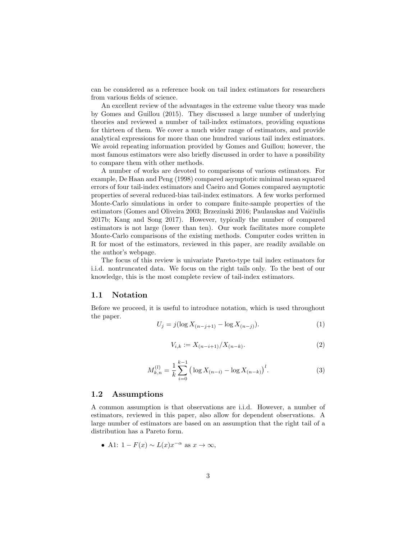can be considered as a reference book on tail index estimators for researchers from various fields of science.

An excellent review of the advantages in the extreme value theory was made by Gomes and Guillou (2015). They discussed a large number of underlying theories and reviewed a number of tail-index estimators, providing equations for thirteen of them. We cover a much wider range of estimators, and provide analytical expressions for more than one hundred various tail index estimators. We avoid repeating information provided by Gomes and Guillou; however, the most famous estimators were also briefly discussed in order to have a possibility to compare them with other methods.

A number of works are devoted to comparisons of various estimators. For example, De Haan and Peng (1998) compared asymptotic minimal mean squared errors of four tail-index estimators and Caeiro and Gomes compared asymptotic properties of several reduced-bias tail-index estimators. A few works performed Monte-Carlo simulations in order to compare finite-sample properties of the estimators (Gomes and Oliveira 2003; Brzezinski 2016; Paulauskas and Vaičiulis 2017b; Kang and Song 2017). However, typically the number of compared estimators is not large (lower than ten). Our work facilitates more complete Monte-Carlo comparisons of the existing methods. Computer codes written in R for most of the estimators, reviewed in this paper, are readily available on the author's webpage.

The focus of this review is univariate Pareto-type tail index estimators for i.i.d. nontruncated data. We focus on the right tails only. To the best of our knowledge, this is the most complete review of tail-index estimators.

#### 1.1 Notation

Before we proceed, it is useful to introduce notation, which is used throughout the paper.

$$
U_j = j(\log X_{(n-j+1)} - \log X_{(n-j)}).
$$
\n(1)

$$
V_{i,k} := X_{(n-i+1)}/X_{(n-k)}.\tag{2}
$$

$$
M_{k,n}^{(l)} = \frac{1}{k} \sum_{i=0}^{k-1} \left( \log X_{(n-i)} - \log X_{(n-k)} \right)^l.
$$
 (3)

#### 1.2 Assumptions

A common assumption is that observations are i.i.d. However, a number of estimators, reviewed in this paper, also allow for dependent observations. A large number of estimators are based on an assumption that the right tail of a distribution has a Pareto form.

• A1: 
$$
1 - F(x) \sim L(x)x^{-\alpha}
$$
 as  $x \to \infty$ ,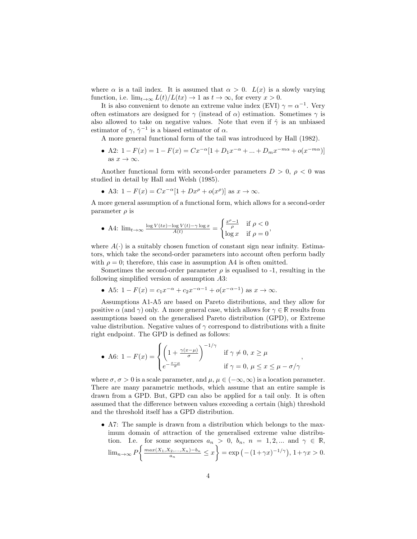where  $\alpha$  is a tail index. It is assumed that  $\alpha > 0$ .  $L(x)$  is a slowly varying function, i.e.  $\lim_{t\to\infty} L(t)/L(tx) \to 1$  as  $t\to\infty$ , for every  $x>0$ .

It is also convenient to denote an extreme value index (EVI)  $\gamma = \alpha^{-1}$ . Very often estimators are designed for  $\gamma$  (instead of  $\alpha$ ) estimation. Sometimes  $\gamma$  is also allowed to take on negative values. Note that even if  $\hat{\gamma}$  is an unbiased estimator of  $\gamma$ ,  $\hat{\gamma}^{-1}$  is a biased estimator of  $\alpha$ .

A more general functional form of the tail was introduced by Hall (1982).

• A2:  $1 - F(x) = 1 - F(x) = Cx^{-\alpha} [1 + D_1 x^{-\alpha} + ... + D_m x^{-m\alpha} + o(x^{-m\alpha})]$ as  $x \to \infty$ .

Another functional form with second-order parameters  $D > 0$ ,  $\rho < 0$  was studied in detail by Hall and Welsh (1985).

• A3:  $1 - F(x) = Cx^{-\alpha} [1 + Dx^{\rho} + o(x^{\rho})]$  as  $x \to \infty$ .

A more general assumption of a functional form, which allows for a second-order parameter  $\rho$  is

• A4: 
$$
\lim_{t \to \infty} \frac{\log V(tx) - \log V(t) - \gamma \log x}{A(t)} = \begin{cases} \frac{x^{\rho} - 1}{\rho} & \text{if } \rho < 0 \\ \log x & \text{if } \rho = 0 \end{cases}
$$

where  $A(\cdot)$  is a suitably chosen function of constant sign near infinity. Estimators, which take the second-order parameters into account often perform badly with  $\rho = 0$ ; therefore, this case in assumption A4 is often omitted.

Sometimes the second-order parameter  $\rho$  is equalised to -1, resulting in the following simplified version of assumption A3:

• A5: 
$$
1 - F(x) = c_1 x^{-\alpha} + c_2 x^{-\alpha-1} + o(x^{-\alpha-1})
$$
 as  $x \to \infty$ .

Assumptions A1-A5 are based on Pareto distributions, and they allow for positive  $\alpha$  (and  $\gamma$ ) only. A more general case, which allows for  $\gamma \in \mathbb{R}$  results from assumptions based on the generalised Pareto distribution (GPD), or Extreme value distribution. Negative values of  $\gamma$  correspond to distributions with a finite right endpoint. The GPD is defined as follows:

• A6: 
$$
1 - F(x) = \begin{cases} \left(1 + \frac{\gamma(x-\mu)}{\sigma}\right)^{-1/\gamma} & \text{if } \gamma \neq 0, x \geq \mu \\ e^{-\frac{x-\mu}{\sigma}} & \text{if } \gamma = 0, \mu \leq x \leq \mu - \sigma/\gamma \end{cases}
$$

where  $\sigma, \sigma > 0$  is a scale parameter, and  $\mu, \mu \in (-\infty, \infty)$  is a location parameter. There are many parametric methods, which assume that an entire sample is drawn from a GPD. But, GPD can also be applied for a tail only. It is often assumed that the difference between values exceeding a certain (high) threshold and the threshold itself has a GPD distribution.

• A7: The sample is drawn from a distribution which belongs to the maximum domain of attraction of the generalised extreme value distribution. I.e. for some sequences  $a_n > 0$ ,  $b_n$ ,  $n = 1, 2, ...$  and  $\gamma \in \mathbb{R}$ ,  $\lim_{n\to\infty} P$  $\begin{cases} \frac{max(X_1, X_2, ..., X_n) - b_n}{a_n} \leq x \end{cases}$  $\} = \exp(-(1+\gamma x)^{-1/\gamma}), 1+\gamma x > 0.$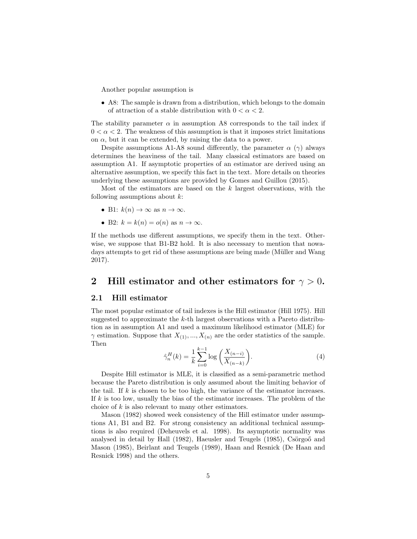Another popular assumption is

• A8: The sample is drawn from a distribution, which belongs to the domain of attraction of a stable distribution with  $0 < \alpha < 2$ .

The stability parameter  $\alpha$  in assumption A8 corresponds to the tail index if  $0 < \alpha < 2$ . The weakness of this assumption is that it imposes strict limitations on  $\alpha$ , but it can be extended, by raising the data to a power.

Despite assumptions A1-A8 sound differently, the parameter  $\alpha$  ( $\gamma$ ) always determines the heaviness of the tail. Many classical estimators are based on assumption A1. If asymptotic properties of an estimator are derived using an alternative assumption, we specify this fact in the text. More details on theories underlying these assumptions are provided by Gomes and Guillou (2015).

Most of the estimators are based on the  $k$  largest observations, with the following assumptions about  $k$ :

- B1:  $k(n) \to \infty$  as  $n \to \infty$ .
- B2:  $k = k(n) = o(n)$  as  $n \to \infty$ .

If the methods use different assumptions, we specify them in the text. Otherwise, we suppose that B1-B2 hold. It is also necessary to mention that nowadays attempts to get rid of these assumptions are being made (Müller and Wang 2017).

# 2 Hill estimator and other estimators for  $\gamma > 0$ .

#### 2.1 Hill estimator

The most popular estimator of tail indexes is the Hill estimator (Hill 1975). Hill suggested to approximate the k-th largest observations with a Pareto distribution as in assumption A1 and used a maximum likelihood estimator (MLE) for  $\gamma$  estimation. Suppose that  $X_{(1)},...,X_{(n)}$  are the order statistics of the sample. Then

$$
\hat{\gamma}_n^H(k) = \frac{1}{k} \sum_{i=0}^{k-1} \log \left( \frac{X_{(n-i)}}{X_{(n-k)}} \right).
$$
 (4)

Despite Hill estimator is MLE, it is classified as a semi-parametric method because the Pareto distribution is only assumed about the limiting behavior of the tail. If  $k$  is chosen to be too high, the variance of the estimator increases. If k is too low, usually the bias of the estimator increases. The problem of the choice of k is also relevant to many other estimators.

Mason (1982) showed week consistency of the Hill estimator under assumptions A1, B1 and B2. For strong consistency an additional technical assumptions is also required (Deheuvels et al. 1998). Its asymptotic normality was analysed in detail by Hall (1982), Haeusler and Teugels (1985), Csörgoő and Mason (1985), Beirlant and Teugels (1989), Haan and Resnick (De Haan and Resnick 1998) and the others.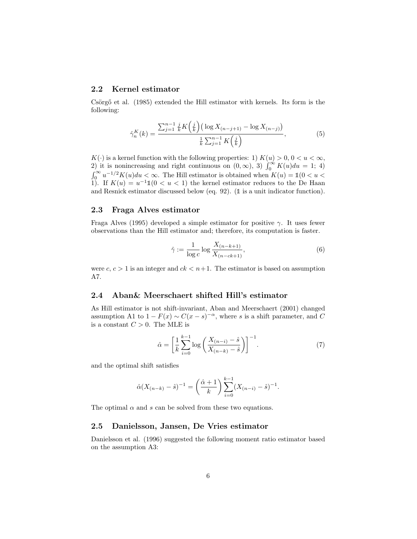### 2.2 Kernel estimator

Csörgő et al. (1985) extended the Hill estimator with kernels. Its form is the following:

$$
\hat{\gamma}_n^K(k) = \frac{\sum_{j=1}^{n-1} \frac{j}{k} K\left(\frac{j}{k}\right) \left(\log X_{(n-j+1)} - \log X_{(n-j)}\right)}{\frac{1}{k} \sum_{j=1}^{n-1} K\left(\frac{j}{k}\right)},\tag{5}
$$

 $K(\cdot)$  is a kernel function with the following properties: 1)  $K(u) > 0, 0 < u < \infty$ , 2) it is nonincreasing and right continuous on  $(0, \infty)$ , 3)  $\int_0^\infty K(u)du = 1$ ; 4)  $\int_0^\infty u^{-1/2}K(u)du < \infty$ . The Hill estimator is obtained when  $K(u) = 1(0 < u <$ 1). If  $K(u) = u^{-1} \mathbb{1}(0 < u < 1)$  the kernel estimator reduces to the De Haan and Resnick estimator discussed below (eq.  $92$ ). ( $\mathbb{1}$  is a unit indicator function).

#### 2.3 Fraga Alves estimator

Fraga Alves (1995) developed a simple estimator for positive  $\gamma$ . It uses fewer observations than the Hill estimator and; therefore, its computation is faster.

$$
\hat{\gamma} := \frac{1}{\log c} \log \frac{X_{(n-k+1)}}{X_{(n-ck+1)}},\tag{6}
$$

were  $c, c > 1$  is an integer and  $ck < n+1$ . The estimator is based on assumption A7.

# 2.4 Aban& Meerschaert shifted Hill's estimator

As Hill estimator is not shift-invariant, Aban and Meerschaert (2001) changed assumption A1 to  $1 - F(x) \sim C(x - s)^{-\alpha}$ , where s is a shift parameter, and C is a constant  $C > 0$ . The MLE is

$$
\hat{\alpha} = \left[\frac{1}{k} \sum_{i=0}^{k-1} \log \left( \frac{X_{(n-i)} - \hat{s}}{X_{(n-k)} - \hat{s}} \right) \right]^{-1}.
$$
\n(7)

and the optimal shift satisfies

$$
\hat{\alpha}(X_{(n-k)} - \hat{s})^{-1} = \left(\frac{\hat{\alpha} + 1}{k}\right) \sum_{i=0}^{k-1} (X_{(n-i)} - \hat{s})^{-1}.
$$

The optimal  $\alpha$  and  $s$  can be solved from these two equations.

# 2.5 Danielsson, Jansen, De Vries estimator

Danielsson et al. (1996) suggested the following moment ratio estimator based on the assumption A3: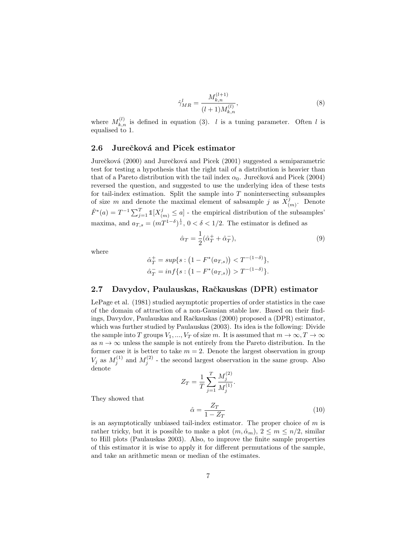$$
\hat{\gamma}_{MR}^l = \frac{M_{k,n}^{(l+1)}}{(l+1)M_{k,n}^{(l)}},\tag{8}
$$

where  $M_{k,n}^{(l)}$  is defined in equation (3). *l* is a tuning parameter. Often *l* is equalised to 1.

#### 2.6 Jurečková and Picek estimator

Jurečková (2000) and Jurečková and Picek (2001) suggested a semiparametric test for testing a hypothesis that the right tail of a distribution is heavier than that of a Pareto distribution with the tail index  $\alpha_0$ . Jurečková and Picek (2004) reversed the question, and suggested to use the underlying idea of these tests for tail-index estimation. Split the sample into  $T$  nonintersecting subsamples of size m and denote the maximal element of sabsample j as  $X_i^j$  $\binom{j}{(m)}$ . Denote  $\hat{F}^*(a) = T^{-1} \sum_{j=1}^T \mathbb{1}[X_{(m)}^j \leq a]$  - the empirical distribution of the subsamples' maxima, and  $a_{T,s} = (mT^{1-\delta})^{\frac{1}{s}}, 0 < \delta < 1/2$ . The estimator is defined as

$$
\hat{\alpha}_T = \frac{1}{2} (\hat{\alpha}_T^+ + \hat{\alpha}_T^-),\tag{9}
$$

where

$$
\hat{\alpha}_T^+ = \sup \{ s : \left( 1 - F^*(a_{T,s}) \right) < T^{-(1-\delta)} \},
$$
\n
$$
\hat{\alpha}_T^- = \inf \{ s : \left( 1 - F^*(a_{T,s}) \right) > T^{-(1-\delta)} \}.
$$

#### 2.7 Davydov, Paulauskas, Raˇckauskas (DPR) estimator

LePage et al. (1981) studied asymptotic properties of order statistics in the case of the domain of attraction of a non-Gausian stable law. Based on their findings, Davydov, Paulauskas and Raˇckauskas (2000) proposed a (DPR) estimator, which was further studied by Paulauskas (2003). Its idea is the following: Divide the sample into T groups  $V_1, ..., V_T$  of size m. It is assumed that  $m \to \infty, T \to \infty$ as  $n \to \infty$  unless the sample is not entirely from the Pareto distribution. In the former case it is better to take  $m = 2$ . Denote the largest observation in group  $V_j$  as  $M_j^{(1)}$  and  $M_j^{(2)}$  - the second largest observation in the same group. Also denote

$$
Z_T = \frac{1}{T} \sum_{j=1}^{T} \frac{M_j^{(2)}}{M_j^{(1)}}.
$$

They showed that

$$
\hat{\alpha} = \frac{Z_T}{1 - Z_T} \tag{10}
$$

is an asymptotically unbiased tail-index estimator. The proper choice of  $m$  is rather tricky, but it is possible to make a plot  $(m, \hat{\alpha}_m)$ ,  $2 \le m \le n/2$ , similar to Hill plots (Paulauskas 2003). Also, to improve the finite sample properties of this estimator it is wise to apply it for different permutations of the sample, and take an arithmetic mean or median of the estimates.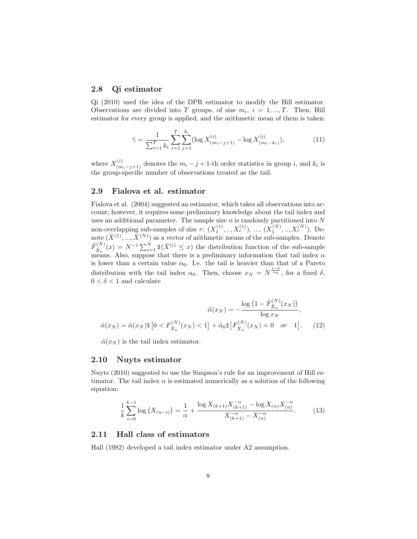#### 2.8 Qi estimator

Qi (2010) used the idea of the DPR estimator to modify the Hill estimator. Observations are divided into T groups, of size  $m_i$ ,  $i = 1, ..., T$ . Then, Hill estimator for every group is applied, and the arithmetic mean of them is taken:

$$
\hat{\gamma} = \frac{1}{\sum_{i=1}^{T} k_i} \sum_{i=1}^{T} \sum_{j=1}^{k_i} (\log X_{(m_i-j+1)}^{(i)} - \log X_{(m_i-k_i)}^{(i)}),\tag{11}
$$

where  $X_{(m_i-j+1)}^{(i)}$  denotes the  $m_i - j + 1$ -th order statistics in group i, and  $k_i$  is the group-specific number of observations treated as the tail.

### 2.9 Fialova et al. estimator

Fialova et al. (2004) suggested an estimator, which takes all observations into account; however, it requires some preliminary knowledge about the tail index and uses an additional parameter. The sample size  $n$  is randomly partitioned into  $N$ non-overlapping sub-samples of size  $r: (X_1^{(1)}, ..., X_r^{(1)}), ..., (X_1^{(N)}, ..., X_r^{(N)})$ . Denote  $(\bar{X}^{(1)},...,\bar{X}^{(N)})$  as a vector of arithmetic means of the sub-samples. Denote  $\hat{F}_{\bar{X}_n}^{(N)}(x) = N^{-1} \sum_{i=1}^N \mathbb{1}(\bar{X}^{(i)} \leq x)$  the distribution function of the sub-sample means. Also, suppose that there is a preliminary information that tail index  $\alpha$ is lower than a certain value  $\alpha_0$ . I.e. the tail is heavier than that of a Pareto distribution with the tail index  $\alpha_0$ . Then, choose  $x_N = N^{\frac{1-\delta}{\alpha_0}}$ , for a fixed  $\delta$ ,  $0<\delta<1$  and calculate

$$
\tilde{\alpha}(x_N) = -\frac{\log\left(1 - \hat{F}_{\bar{X}_n}^{(N)}(x_N)\right)}{\log x_N},
$$

$$
\hat{\alpha}(x_N) = \tilde{\alpha}(x_N) \mathbb{1}\left[0 < F_{\bar{X}_n}^{(N)}(x_N) < 1\right] + \tilde{\alpha}_0 \mathbb{1}\left[F_{\bar{X}_n}^{(N)}(x_N) = 0 \quad or \quad 1\right]. \tag{12}
$$

 $\hat{\alpha}(x_N)$  is the tail index estimator.

#### 2.10 Nuyts estimator

Nuyts (2010) suggested to use the Simpson's rule for an improvement of Hill estimator. The tail index  $\alpha$  is estimated numerically as a solution of the following equation:

$$
\frac{1}{k} \sum_{i=0}^{k-1} \log \left( X_{(n-i)} \right) = \frac{1}{\alpha} + \frac{\log X_{(k+1)} X_{(k+1)}^{-\alpha} - \log X_{(n)} X_{(n)}^{-\alpha}}{X_{(k+1)}^{-\alpha} - X_{(n)}^{-\alpha}}.
$$
(13)

#### 2.11 Hall class of estimators

Hall (1982) developed a tail index estimator under A2 assumption.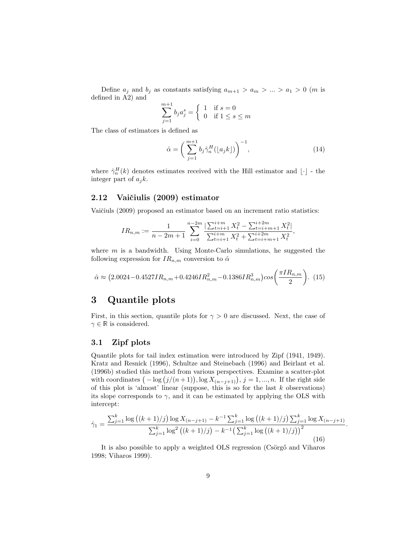Define  $a_j$  and  $b_j$  as constants satisfying  $a_{m+1} > a_m > ... > a_1 > 0$  (*m* is defined in A2) and

$$
\sum_{j=1}^{m+1} b_j a_j^s = \begin{cases} 1 & \text{if } s = 0\\ 0 & \text{if } 1 \le s \le m \end{cases}
$$

The class of estimators is defined as

$$
\hat{\alpha} = \left(\sum_{j=1}^{m+1} b_j \hat{\gamma}_n^H(\lfloor a_j k \rfloor)\right)^{-1},\tag{14}
$$

,

.

where  $\hat{\gamma}_n^H(k)$  denotes estimates received with the Hill estimator and  $\lfloor \cdot \rfloor$  - the integer part of  $a_i k$ .

### 2.12 Vaičiulis (2009) estimator

Vaičiuls (2009) proposed an estimator based on an increment ratio statistics:

$$
IR_{n,m} := \frac{1}{n-2m+1} \sum_{i=0}^{n-2m} \frac{\left| \sum_{t=i+1}^{i+m} X_t^2 - \sum_{t=i+m+1}^{i+2m} X_t^2 \right|}{\sum_{t=i+1}^{i+m} X_t^2 + \sum_{t=i+m+1}^{i+2m} X_t^2}
$$

where  $m$  is a bandwidth. Using Monte-Carlo simulations, he suggested the following expression for  $IR_{n,m}$  conversion to  $\hat{\alpha}$ 

$$
\hat{\alpha} \approx (2.0024 - 0.4527IR_{n,m} + 0.4246IR_{n,m}^2 - 0.1386IR_{n,m}^3)\cos\left(\frac{\pi IR_{n,m}}{2}\right). \tag{15}
$$

# 3 Quantile plots

First, in this section, quantile plots for  $\gamma > 0$  are discussed. Next, the case of  $\gamma \in \mathbb{R}$  is considered.

# 3.1 Zipf plots

Quantile plots for tail index estimation were introduced by Zipf (1941, 1949). Kratz and Resnick (1996), Schultze and Steinebach (1996) and Beirlant et al. (1996b) studied this method from various perspectives. Examine a scatter-plot with coordinates  $(-\log (j/(n+1)), \log X_{(n-j+1)}), j = 1, ..., n$ . If the right side of this plot is 'almost' linear (suppose, this is so for the last  $k$  observations) its slope corresponds to  $\gamma$ , and it can be estimated by applying the OLS with intercept:

$$
\hat{\gamma}_1 = \frac{\sum_{j=1}^k \log\left((k+1)/j\right) \log X_{(n-j+1)} - k^{-1} \sum_{j=1}^k \log\left((k+1)/j\right) \sum_{j=1}^k \log X_{(n-j+1)}}{\sum_{j=1}^k \log^2\left((k+1)/j\right) - k^{-1} \left(\sum_{j=1}^k \log\left((k+1)/j\right)\right)^2}
$$
\n(16)

It is also possible to apply a weighted OLS regression (Csörgő and Viharos 1998; Viharos 1999).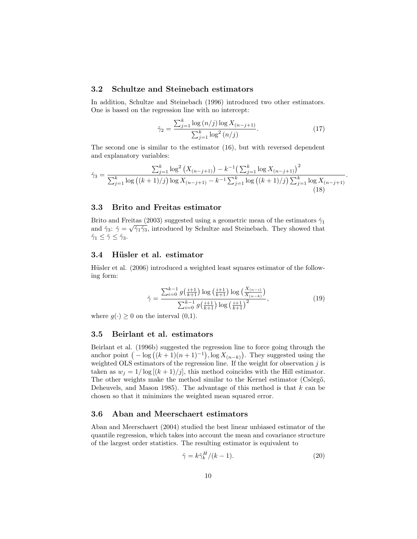# 3.2 Schultze and Steinebach estimators

In addition, Schultze and Steinebach (1996) introduced two other estimators. One is based on the regression line with no intercept:

$$
\hat{\gamma}_2 = \frac{\sum_{j=1}^k \log{(n/j)} \log X_{(n-j+1)}}{\sum_{j=1}^k \log^2{(n/j)}}.
$$
\n(17)

.

The second one is similar to the estimator (16), but with reversed dependent and explanatory variables:

$$
\hat{\gamma}_3 = \frac{\sum_{j=1}^k \log^2 (X_{(n-j+1)}) - k^{-1} \left(\sum_{j=1}^k \log X_{(n-j+1)}\right)^2}{\sum_{j=1}^k \log \left((k+1)/j\right) \log X_{(n-j+1)} - k^{-1} \sum_{j=1}^k \log \left((k+1)/j\right) \sum_{j=1}^k \log X_{(n-j+1)}}\tag{18}
$$

# 3.3 Brito and Freitas estimator

Brito and Freitas (2003) suggested using a geometric mean of the estimators  $\hat{\gamma}_1$ and  $\hat{\gamma}_3$ :  $\hat{\gamma} = \sqrt{\hat{\gamma}_1 \hat{\gamma}_3}$ , introduced by Schultze and Steinebach. They showed that  $\hat{\gamma}_1 \leq \hat{\gamma} \leq \hat{\gamma}_3.$ 

#### 3.4 Hüsler et al. estimator

Hüsler et al. (2006) introduced a weighted least squares estimator of the following form:

$$
\hat{\gamma} = \frac{\sum_{i=0}^{k-1} g\left(\frac{i+1}{k+1}\right) \log\left(\frac{i+1}{k+1}\right) \log\left(\frac{X_{(n-i)}}{X_{(n-k)}}\right)}{\sum_{i=0}^{k-1} g\left(\frac{i+1}{k+1}\right) \log\left(\frac{i+1}{k+1}\right)^2},\tag{19}
$$

where  $g(\cdot) \geq 0$  on the interval  $(0,1)$ .

#### 3.5 Beirlant et al. estimators

Beirlant et al. (1996b) suggested the regression line to force going through the anchor point  $(-\log ((k+1)(n+1)^{-1}), \log X_{(n-k)})$ . They suggested using the weighted OLS estimators of the regression line. If the weight for observation  $j$  is taken as  $w_i = 1/\log [(k+1)/j]$ , this method coincides with the Hill estimator. The other weights make the method similar to the Kernel estimator (Csörgő, Deheuvels, and Mason 1985). The advantage of this method is that  $k$  can be chosen so that it minimizes the weighted mean squared error.

### 3.6 Aban and Meerschaert estimators

Aban and Meerschaert (2004) studied the best linear unbiased estimator of the quantile regression, which takes into account the mean and covariance structure of the largest order statistics. The resulting estimator is equivalent to

$$
\hat{\gamma} = k \hat{\gamma}_k^H / (k - 1). \tag{20}
$$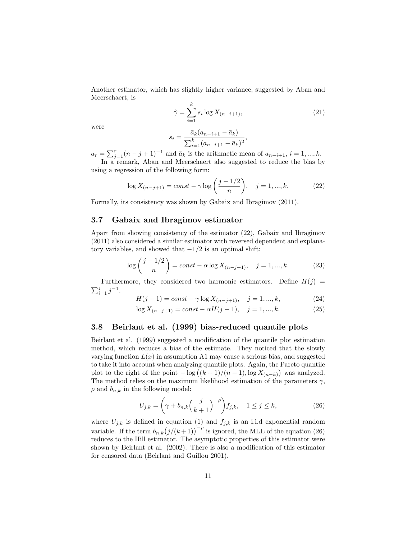Another estimator, which has slightly higher variance, suggested by Aban and Meerschaert, is

$$
\hat{\gamma} = \sum_{i=1}^{k} s_i \log X_{(n-i+1)},
$$
\n(21)

were

$$
s_i = \frac{\bar{a}_k (a_{n-i+1} - \bar{a}_k)}{\sum_{i=1}^k (a_{n-i+1} - \bar{a}_k)^2},
$$

 $a_r = \sum_{j=1}^r (n-j+1)^{-1}$  and  $\bar{a}_k$  is the arithmetic mean of  $a_{n-i+1}, i = 1, ..., k$ .

In a remark, Aban and Meerschaert also suggested to reduce the bias by using a regression of the following form:

$$
\log X_{(n-j+1)} = const - \gamma \log \left( \frac{j-1/2}{n} \right), \quad j = 1, ..., k. \tag{22}
$$

Formally, its consistency was shown by Gabaix and Ibragimov (2011).

### 3.7 Gabaix and Ibragimov estimator

Apart from showing consistency of the estimator (22), Gabaix and Ibragimov (2011) also considered a similar estimator with reversed dependent and explanatory variables, and showed that  $-1/2$  is an optimal shift:

$$
\log\left(\frac{j-1/2}{n}\right) = const - \alpha \log X_{(n-j+1)}, \quad j = 1, ..., k. \tag{23}
$$

Furthermore, they considered two harmonic estimators. Define  $H(j)$  =  $\sum_{i=1}^{j} j^{-1}$ .

$$
H(j-1) = const - \gamma \log X_{(n-j+1)}, \quad j = 1, ..., k,
$$
\n(24)

$$
\log X_{(n-j+1)} = const - \alpha H(j-1), \quad j = 1, ..., k.
$$
 (25)

#### 3.8 Beirlant et al. (1999) bias-reduced quantile plots

Beirlant et al. (1999) suggested a modification of the quantile plot estimation method, which reduces a bias of the estimate. They noticed that the slowly varying function  $L(x)$  in assumption A1 may cause a serious bias, and suggested to take it into account when analyzing quantile plots. Again, the Pareto quantile plot to the right of the point  $-\log((k+1)/(n-1), \log X_{(n-k)})$  was analyzed. The method relies on the maximum likelihood estimation of the parameters  $\gamma$ ,  $\rho$  and  $b_{n,k}$  in the following model:

$$
U_{j,k} = \left(\gamma + b_{n,k} \left(\frac{j}{k+1}\right)^{-\rho}\right) f_{j,k}, \quad 1 \le j \le k,
$$
\n(26)

where  $U_{j,k}$  is defined in equation (1) and  $f_{j,k}$  is an i.i.d exponential random variable. If the term  $b_{n,k}(j/(k+1))^{-\rho}$  is ignored, the MLE of the equation (26) reduces to the Hill estimator. The asymptotic properties of this estimator were shown by Beirlant et al. (2002). There is also a modification of this estimator for censored data (Beirlant and Guillou 2001).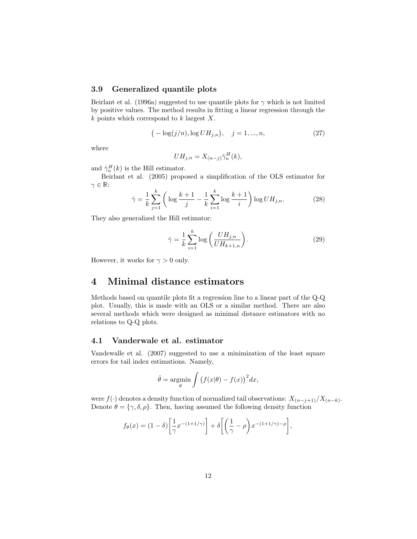#### 3.9 Generalized quantile plots

Beirlant et al. (1996a) suggested to use quantile plots for  $\gamma$  which is not limited by positive values. The method results in fitting a linear regression through the  $k$  points which correspond to  $k$  largest  $X$ .

$$
\left( -\log(j/n), \log U H_{j,n} \right), \quad j = 1, ..., n,
$$
\n(27)

where

$$
UH_{j,n} = X_{(n-j)}\hat{\gamma}_n^H(k),
$$

and  $\hat{\gamma}_n^H(k)$  is the Hill estimator.

Beirlant et al. (2005) proposed a simplification of the OLS estimator for  $\gamma \in \mathbb{R}$ :

$$
\hat{\gamma} = \frac{1}{k} \sum_{j=1}^{k} \left( \log \frac{k+1}{j} - \frac{1}{k} \sum_{i=1}^{k} \log \frac{k+1}{i} \right) \log U H_{j,n}.
$$
 (28)

They also generalized the Hill estimator:

$$
\hat{\gamma} = \frac{1}{k} \sum_{i=1}^{k} \log \left( \frac{U H_{j,n}}{U H_{k+1,n}} \right). \tag{29}
$$

However, it works for  $\gamma > 0$  only.

# 4 Minimal distance estimators

Methods based on quantile plots fit a regression line to a linear part of the Q-Q plot. Usually, this is made with an OLS or a similar method. There are also several methods which were designed as minimal distance estimators with no relations to Q-Q plots.

### 4.1 Vanderwale et al. estimator

Vandewalle et al. (2007) suggested to use a minimization of the least square errors for tail index estimations. Namely,

$$
\hat{\theta} = \underset{\theta}{\text{argmin}} \int \left( f(x|\theta) - f(x) \right)^2 dx,
$$

were  $f(\cdot)$  denotes a density function of normalized tail observations:  $X_{(n-j+1)}/X_{(n-k)}$ . Denote  $\theta = {\gamma, \delta, \rho}$ . Then, having assumed the following density function

$$
f_{\theta}(x) = (1 - \delta) \left[ \frac{1}{\gamma} x^{-(1 + 1/\gamma)} \right] + \delta \left[ \left( \frac{1}{\gamma} - \rho \right) x^{-(1 + 1/\gamma) - \rho} \right],
$$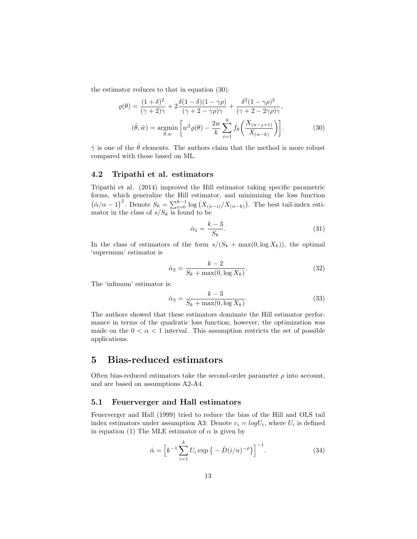the estimator reduces to that in equation (30).

$$
\varrho(\theta) = \frac{(1+\delta)^2}{(\gamma+2)\gamma} + 2\frac{\delta(1-\delta)(1-\gamma\rho)}{(\gamma+2-\gamma\rho)\gamma} + \frac{\delta^2(1-\gamma\rho)^2}{(\gamma+2-2\gamma\rho)\gamma},
$$
  

$$
(\hat{\theta}, \hat{w}) = \underset{\theta,w}{\text{argmin}} \left[ w^2 \varrho(\theta) - \frac{2w}{k} \sum_{i=1}^k f_\theta \left( \frac{X_{(n-i+1)}}{X_{(n-k)}} \right) \right].
$$
 (30)

 $\hat{\gamma}$  is one of the  $\hat{\theta}$  elements. The authors claim that the method is more robust compared with those based on ML.

#### 4.2 Tripathi et al. estimators

Tripathi et al. (2014) improved the Hill estimator taking specific parametric forms, which generalize the Hill estimator, and minimizing the loss function  $(\hat{\alpha}/\alpha - 1)^2$ . Denote  $S_k = \sum_{i=0}^{k-1} \log (X_{(n-i)}/X_{(n-k)})$ . The best tail-index estimator in the class of  $s/S_k$  is found to be

$$
\hat{\alpha}_1 = \frac{k-3}{S_k}.\tag{31}
$$

In the class of estimators of the form  $s/(S_k + \max(0, \log X_k))$ , the optimal 'supremum' estimator is

$$
\hat{\alpha}_2 = \frac{k - 2}{S_k + \max(0, \log X_k)}.\tag{32}
$$

The 'infimum' estimator is:

$$
\hat{\alpha}_3 = \frac{k-3}{S_k + \max(0, \log X_k)}.\tag{33}
$$

The authors showed that these estimators dominate the Hill estimator performance in terms of the quadratic loss function; however, the optimization was made on the  $0 < \alpha < 1$  interval. This assumption restricts the set of possible applications.

# 5 Bias-reduced estimators

Often bias-reduced estimators take the second-order parameter  $\rho$  into account, and are based on assumptions A2-A4.

# 5.1 Feuerverger and Hall estimators

Feuerverger and Hall (1999) tried to reduce the bias of the Hill and OLS tail index estimators under assumption A3: Denote  $v_i = log U_i$ , where  $U_i$  is defined in equation (1) The MLE estimator of  $\alpha$  is given by

$$
\hat{\alpha} = \left[ k^{-1} \sum_{i=1}^{k} U_i \exp \left\{ - \hat{D} (i/n)^{-\hat{\rho}} \right\} \right]^{-1}.
$$
 (34)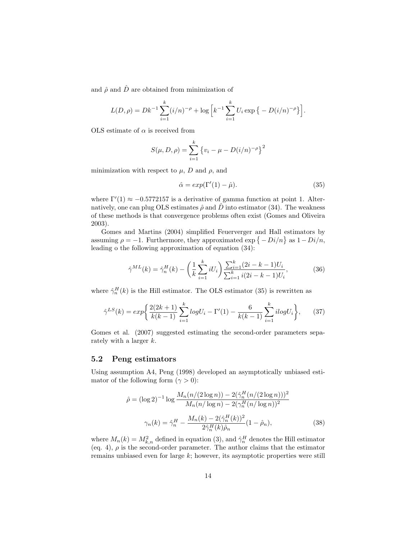and  $\hat{\rho}$  and  $\hat{D}$  are obtained from minimization of

$$
L(D,\rho) = Dk^{-1} \sum_{i=1}^{k} (i/n)^{-\rho} + \log \left[ k^{-1} \sum_{i=1}^{k} U_i \exp \left\{ -D(i/n)^{-\rho} \right\} \right].
$$

OLS estimate of  $\alpha$  is received from

$$
S(\mu, D, \rho) = \sum_{i=1}^{k} \{v_i - \mu - D(i/n)^{-\rho}\}^2
$$

minimization with respect to  $\mu$ , D and  $\rho$ , and

$$
\hat{\alpha} = \exp(\Gamma'(1) - \hat{\mu}).\tag{35}
$$

where  $\Gamma'(1) \approx -0.5772157$  is a derivative of gamma function at point 1. Alternatively, one can plug OLS estimates  $\hat{\rho}$  and  $\hat{D}$  into estimator (34). The weakness of these methods is that convergence problems often exist (Gomes and Oliveira 2003).

Gomes and Martins (2004) simplified Feuerverger and Hall estimators by assuming  $\rho = -1$ . Furthermore, they approximated  $\exp \{-Di/n\}$  as  $1-Di/n$ , leading o the following approximation of equation (34):

$$
\hat{\gamma}^{ML}(k) = \hat{\gamma}_n^H(k) - \left(\frac{1}{k} \sum_{i=1}^k iU_i\right) \frac{\sum_{i=1}^k (2i - k - 1)U_i}{\sum_{i=1}^k i(2i - k - 1)U_i},\tag{36}
$$

where  $\hat{\gamma}_n^H(k)$  is the Hill estimator. The OLS estimator (35) is rewritten as

$$
\hat{\gamma}^{LS}(k) = exp\bigg\{\frac{2(2k+1)}{k(k-1)}\sum_{i=1}^{k} logU_i - \Gamma'(1) - \frac{6}{k(k-1)}\sum_{i=1}^{k} ilogU_i\bigg\},\qquad(37)
$$

Gomes et al. (2007) suggested estimating the second-order parameters separately with a larger k.

#### 5.2 Peng estimators

Using assumption A4, Peng (1998) developed an asymptotically unbiased estimator of the following form  $(\gamma > 0)$ :

$$
\hat{\rho} = (\log 2)^{-1} \log \frac{M_n(n/(2 \log n)) - 2(\hat{\gamma}_n^H(n/(2 \log n)))^2}{M_n(n/\log n) - 2(\gamma_n^H(n/\log n))^2}
$$

$$
\gamma_n(k) = \hat{\gamma}_n^H - \frac{M_n(k) - 2(\hat{\gamma}_n^H(k))^2}{2\hat{\gamma}_n^H(k)\hat{\rho}_n} (1 - \hat{\rho}_n),
$$
(38)

where  $M_n(k) = M_{k,n}^2$  defined in equation (3), and  $\hat{\gamma}_n^H$  denotes the Hill estimator (eq. 4),  $\rho$  is the second-order parameter. The author claims that the estimator remains unbiased even for large k; however, its asymptotic properties were still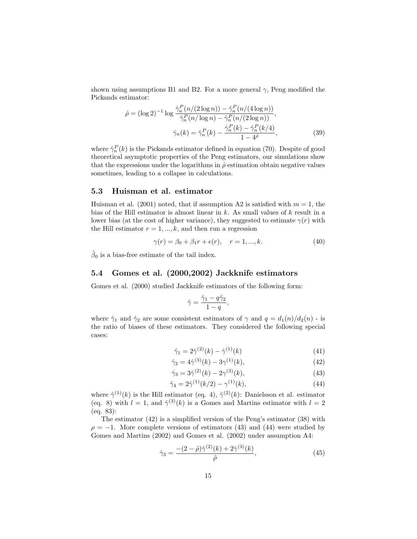shown using assumptions B1 and B2. For a more general  $\gamma$ , Peng modified the Pickands estimator:

$$
\hat{\rho} = (\log 2)^{-1} \log \frac{\hat{\gamma}_n^P(n/(2\log n)) - \hat{\gamma}_n^P(n/(4\log n))}{\hat{\gamma}_n^P(n/\log n) - \hat{\gamma}_n^P(n/(2\log n))},
$$

$$
\hat{\gamma}_n(k) = \hat{\gamma}_n^P(k) - \frac{\hat{\gamma}_n^P(k) - \hat{\gamma}_n^P(k/4)}{1 - 4\hat{\rho}},
$$
(39)

where  $\hat{\gamma}_n^P(k)$  is the Pickands estimator defined in equation (70). Despite of good theoretical asymptotic properties of the Peng estimators, our simulations show that the expressions under the logarithms in  $\hat{\rho}$  estimation obtain negative values sometimes, leading to a collapse in calculations.

#### 5.3 Huisman et al. estimator

Huisman et al. (2001) noted, that if assumption A2 is satisfied with  $m = 1$ , the bias of the Hill estimator is almost linear in  $k$ . As small values of  $k$  result in a lower bias (at the cost of higher variance), they suggested to estimate  $\gamma(r)$  with the Hill estimator  $r = 1, ..., k$ , and then run a regression

$$
\gamma(r) = \beta_0 + \beta_1 r + \epsilon(r), \quad r = 1, ..., k. \tag{40}
$$

 $\hat{\beta}_0$  is a bias-free estimate of the tail index.

### 5.4 Gomes et al. (2000,2002) Jackknife estimators

Gomes et al. (2000) studied Jackknife estimators of the following form:

$$
\hat{\gamma} = \frac{\hat{\gamma}_1 - q\hat{\gamma}_2}{1 - q},
$$

where  $\hat{\gamma}_1$  and  $\hat{\gamma}_2$  are some consistent estimators of  $\gamma$  and  $q = d_1(n)/d_2(n)$  - is the ratio of biases of these estimators. They considered the following special cases:

$$
\hat{\gamma}_1 = 2\hat{\gamma}^{(2)}(k) - \hat{\gamma}^{(1)}(k) \tag{41}
$$

$$
\hat{\gamma}_2 = 4\hat{\gamma}^{(3)}(k) - 3\gamma^{(1)}(k),\tag{42}
$$

$$
\hat{\gamma}_3 = 3\hat{\gamma}^{(2)}(k) - 2\gamma^{(3)}(k),\tag{43}
$$

$$
\hat{\gamma}_4 = 2\hat{\gamma}^{(1)}(k/2) - \gamma^{(1)}(k),\tag{44}
$$

where  $\hat{\gamma}^{(1)}(k)$  is the Hill estimator (eq. 4),  $\hat{\gamma}^{(2)}(k)$ : Danielsson et al. estimator (eq. 8) with  $l = 1$ , and  $\hat{\gamma}^{(3)}(k)$  is a Gomes and Martins estimator with  $l = 2$ (eq. 83):

The estimator (42) is a simplified version of the Peng's estimator (38) with  $\rho = -1$ . More complete versions of estimators (43) and (44) were studied by Gomes and Martins (2002) and Gomes et al. (2002) under assumption A4:

$$
\hat{\gamma}_3 = \frac{-(2-\hat{\rho})\hat{\gamma}^{(2)}(k) + 2\hat{\gamma}^{(3)}(k)}{\hat{\rho}},\tag{45}
$$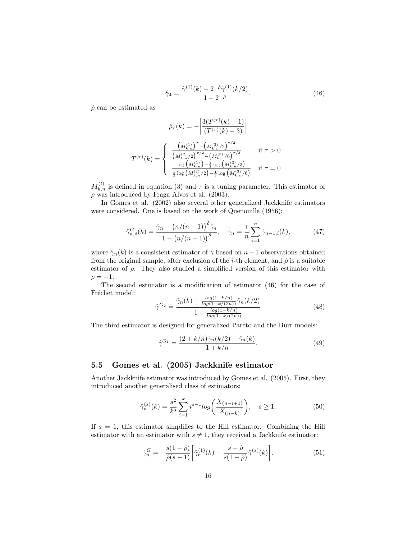$$
\hat{\gamma}_4 = \frac{\hat{\gamma}^{(1)}(k) - 2^{-\hat{\rho}} \hat{\gamma}^{(1)}(k/2)}{1 - 2^{-\hat{\rho}}}.
$$
\n(46)

 $\hat{\rho}$  can be estimated as

$$
\hat{\rho}_{\tau}(k) = -\left| \frac{3(T^{(\tau)}(k) - 1)}{(T^{(\tau)}(k) - 3)} \right|
$$

$$
T^{(\tau)}(k) = \begin{cases} \frac{\left(M_{k,n}^{(1)}\right)^{\tau} - \left(M_{k,n}^{(2)}/2\right)^{\tau/2}}{\left(M_{k,n}^{(2)}/2\right)^{\tau/2} - \left(M_{k,n}^{(3)}/6\right)^{\tau/3}} & \text{if } \tau > 0\\ \frac{\log\left(M_{k,n}^{(1)}\right) - \frac{1}{2}\log\left(M_{k,n}^{(2)}/2\right)}{\frac{1}{2}\log\left(M_{k,n}^{(2)}/2\right) - \frac{1}{3}\log\left(M_{k,n}^{(3)}/6\right)} & \text{if } \tau = 0 \end{cases}
$$

 $M_{k,n}^{(l)}$  is defined in equation (3) and  $\tau$  is a tuning parameter. This estimator of  $\rho$  was introduced by Fraga Alves et al. (2003).

In Gomes et al. (2002) also several other generalized Jackknife estimators were considered. One is based on the work of Quenouille (1956):

$$
\hat{\gamma}_{n,\hat{\rho}}^G(k) = \frac{\hat{\gamma}_n - (n/(n-1))^{\hat{\rho}} \bar{\hat{\gamma}}_n}{1 - (n/(n-1))^{\hat{\rho}}}, \quad \bar{\hat{\gamma}}_n = \frac{1}{n} \sum_{i=1}^n \hat{\gamma}_{n-1,i}(k), \tag{47}
$$

where  $\hat{\gamma}_n(k)$  is a consistent estimator of  $\gamma$  based on  $n-1$  observations obtained from the original sample, after exclusion of the *i*-th element, and  $\hat{\rho}$  is a suitable estimator of  $\rho$ . They also studied a simplified version of this estimator with  $\rho = -1.$ 

The second estimator is a modification of estimator (46) for the case of Fréchet model:

$$
\hat{\gamma}^{G_2} = \frac{\hat{\gamma}_n(k) - \frac{\log(1 - k/n)}{\log(1 - k/(2n))} \hat{\gamma}_n(k/2)}{1 - \frac{\log(1 - k/n)}{\log(1 - k/(2n))}}
$$
(48)

The third estimator is designed for generalized Pareto and the Burr models:

$$
\hat{\gamma}^{G_1} = \frac{(2 + k/n)\hat{\gamma}_n(k/2) - \hat{\gamma}_n(k)}{1 + k/n}.
$$
\n(49)

# 5.5 Gomes et al. (2005) Jackknife estimator

Another Jackknife estimator was introduced by Gomes et al. (2005). First, they introduced another generalised class of estimators:

$$
\hat{\gamma}_n^{(s)}(k) = \frac{s^2}{k^s} \sum_{i=1}^k i^{s-1} \log\left(\frac{X_{(n-i+1)}}{X_{(n-k)}}\right), \quad s \ge 1.
$$
 (50)

If  $s = 1$ , this estimator simplifies to the Hill estimator. Combining the Hill estimator with an estimator with  $s \neq 1$ , they received a Jackknife estimator:

$$
\hat{\gamma}_n^G = -\frac{s(1-\hat{\rho})}{\hat{\rho}(s-1)} \bigg[ \hat{\gamma}_n^{(1)}(k) - \frac{s-\hat{\rho}}{s(1-\hat{\rho})} \hat{\gamma}^{(s)}(k) \bigg]. \tag{51}
$$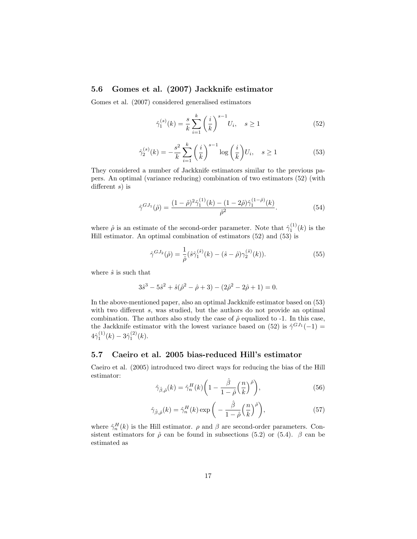# 5.6 Gomes et al. (2007) Jackknife estimator

Gomes et al. (2007) considered generalised estimators

$$
\hat{\gamma}_1^{(s)}(k) = \frac{s}{k} \sum_{i=1}^k \left(\frac{i}{k}\right)^{s-1} U_i, \quad s \ge 1
$$
\n(52)

$$
\hat{\gamma}_2^{(s)}(k) = -\frac{s^2}{k} \sum_{i=1}^k \left(\frac{i}{k}\right)^{s-1} \log\left(\frac{i}{k}\right) U_i, \quad s \ge 1
$$
\n(53)

They considered a number of Jackknife estimators similar to the previous papers. An optimal (variance reducing) combination of two estimators (52) (with different  $s$ ) is

$$
\hat{\gamma}^{GJ_1}(\hat{\rho}) = \frac{(1-\hat{\rho})^2 \hat{\gamma}_1^{(1)}(k) - (1-2\hat{\rho}) \hat{\gamma}_1^{(1-\hat{\rho})}(k)}{\hat{\rho}^2}.
$$
\n(54)

where  $\hat{\rho}$  is an estimate of the second-order parameter. Note that  $\hat{\gamma}_1^{(1)}(k)$  is the Hill estimator. An optimal combination of estimators  $(52)$  and  $(53)$  is

$$
\hat{\gamma}^{GJ_2}(\hat{\rho}) = \frac{1}{\hat{\rho}} (\hat{s}\hat{\gamma}_1^{(\hat{s})}(k) - (\hat{s} - \hat{\rho})\hat{\gamma}_2^{(\hat{s})}(k)).
$$
\n(55)

where  $\hat{s}$  is such that

$$
3\hat{s}^3 - 5\hat{s}^2 + \hat{s}(\hat{\rho}^2 - \hat{\rho} + 3) - (2\hat{\rho}^2 - 2\hat{\rho} + 1) = 0.
$$

In the above-mentioned paper, also an optimal Jackknife estimator based on (53) with two different s, was studied, but the authors do not provide an optimal combination. The authors also study the case of  $\hat{\rho}$  equalized to -1. In this case, the Jackknife estimator with the lowest variance based on (52) is  $\hat{\gamma}^{GJ_1}(-1) =$  $4\hat{\gamma}_1^{(1)}(k) - 3\hat{\gamma}_1^{(2)}(k).$ 

#### 5.7 Caeiro et al. 2005 bias-reduced Hill's estimator

Caeiro et al. (2005) introduced two direct ways for reducing the bias of the Hill estimator:

$$
\hat{\gamma}_{\hat{\beta},\hat{\rho}}(k) = \hat{\gamma}_n^H(k) \left( 1 - \frac{\hat{\beta}}{1 - \hat{\rho}} \left( \frac{n}{k} \right)^{\hat{\rho}} \right),\tag{56}
$$

$$
\hat{\gamma}_{\hat{\beta},\hat{\rho}}(k) = \hat{\gamma}_n^H(k) \exp\left(-\frac{\hat{\beta}}{1-\hat{\rho}}\left(\frac{n}{k}\right)^{\hat{\rho}}\right),\tag{57}
$$

where  $\hat{\gamma}_n^H(k)$  is the Hill estimator.  $\rho$  and  $\beta$  are second-order parameters. Consistent estimators for  $\hat{\rho}$  can be found in subsections (5.2) or (5.4).  $\beta$  can be estimated as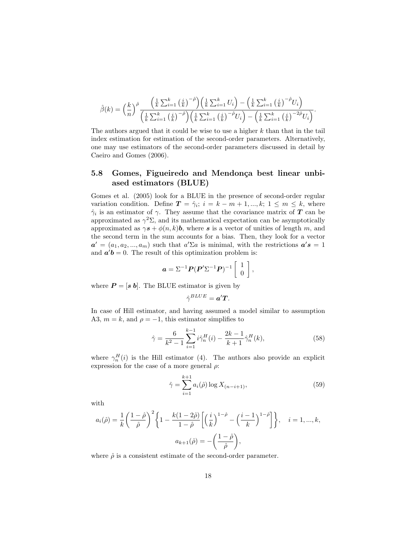$$
\hat{\beta}(k) = \left(\frac{k}{n}\right)^{\hat{\rho}} \frac{\left(\frac{1}{k}\sum_{i=1}^{k}\left(\frac{i}{k}\right)^{-\hat{\rho}}\right)\left(\frac{1}{k}\sum_{i=1}^{k}U_{i}\right) - \left(\frac{1}{k}\sum_{i=1}^{k}\left(\frac{i}{k}\right)^{-\hat{\rho}}U_{i}\right)}{\left(\frac{1}{k}\sum_{i=1}^{k}\left(\frac{i}{k}\right)^{-\hat{\rho}}\right)\left(\frac{1}{k}\sum_{i=1}^{k}\left(\frac{i}{k}\right)^{-\hat{\rho}}U_{i}\right) - \left(\frac{1}{k}\sum_{i=1}^{k}\left(\frac{i}{k}\right)^{-2\hat{\rho}}U_{i}\right)}.
$$

The authors argued that it could be wise to use a higher  $k$  than that in the tail index estimation for estimation of the second-order parameters. Alternatively, one may use estimators of the second-order parameters discussed in detail by Caeiro and Gomes (2006).

# 5.8 Gomes, Figueiredo and Mendonça best linear unbiased estimators (BLUE)

Gomes et al. (2005) look for a BLUE in the presence of second-order regular variation condition. Define  $T = \hat{\gamma}_i$ ;  $i = k - m + 1, ..., k$ ;  $1 \leq m \leq k$ , where  $\hat{\gamma}_i$  is an estimator of  $\gamma$ . They assume that the covariance matrix of **T** can be approximated as  $\gamma^2\Sigma$ , and its mathematical expectation can be asymptotically approximated as  $\gamma s + \phi(n, k)$ , where s is a vector of unities of length m, and the second term in the sum accounts for a bias. Then, they look for a vector  $a' = (a_1, a_2, ..., a_m)$  such that  $a' \Sigma a$  is minimal, with the restrictions  $a's = 1$ and  $a'b = 0$ . The result of this optimization problem is:

$$
\mathbf{a} = \Sigma^{-1} \mathbf{P} (\mathbf{P}' \Sigma^{-1} \mathbf{P})^{-1} \begin{bmatrix} 1 \\ 0 \end{bmatrix},
$$

where  $P = [s \; b]$ . The BLUE estimator is given by

$$
\hat{\gamma}^{BLE} = \boldsymbol{a}'\boldsymbol{T}.
$$

In case of Hill estimator, and having assumed a model similar to assumption A3,  $m = k$ , and  $\rho = -1$ , this estimator simplifies to

$$
\hat{\gamma} = \frac{6}{k^2 - 1} \sum_{i=1}^{k-1} i \hat{\gamma}_n^H(i) - \frac{2k - 1}{k + 1} \hat{\gamma}_n^H(k),\tag{58}
$$

where  $\gamma_n^H(i)$  is the Hill estimator (4). The authors also provide an explicit expression for the case of a more general  $\rho$ :

$$
\hat{\gamma} = \sum_{i=1}^{k+1} a_i(\hat{\rho}) \log X_{(n-i+1)},
$$
\n(59)

with

$$
a_i(\hat{\rho}) = \frac{1}{k} \left( \frac{1-\hat{\rho}}{\hat{\rho}} \right)^2 \left\{ 1 - \frac{k(1-2\hat{\rho})}{1-\hat{\rho}} \left[ \left( \frac{i}{k} \right)^{1-\hat{\rho}} - \left( \frac{i-1}{k} \right)^{1-\hat{\rho}} \right] \right\}, \quad i = 1, ..., k,
$$
  

$$
a_{k+1}(\hat{\rho}) = -\left( \frac{1-\hat{\rho}}{\hat{\rho}} \right),
$$

where  $\hat{\rho}$  is a consistent estimate of the second-order parameter.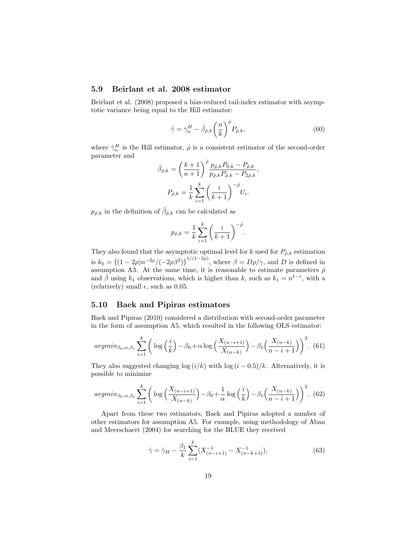#### 5.9 Beirlant et al. 2008 estimator

Beirlant et al. (2008) proposed a bias-reduced tail-index estimator with asymptotic variance being equal to the Hill estimator:

$$
\hat{\gamma} = \hat{\gamma}_n^H - \hat{\beta}_{\hat{\rho},k} \left(\frac{n}{k}\right)^{\hat{\rho}} P_{\hat{\rho},k},\tag{60}
$$

where  $\hat{\gamma}_n^H$  is the Hill estimator,  $\hat{\rho}$  is a consistent estimator of the second-order parameter and

$$
\hat{\beta}_{\hat{\rho},k} = \left(\frac{k+1}{n+1}\right)^{\hat{\rho}} \frac{p_{\hat{\rho},k} P_{0,k} - P_{\hat{\rho},k}}{p_{\hat{\rho},k} P_{\hat{\rho},k} - P_{2\hat{\rho},k}},
$$

$$
P_{\hat{\rho},k} = \frac{1}{k} \sum_{i=1}^{k} \left(\frac{i}{k+1}\right)^{-\hat{\rho}} U_i.
$$

 $p_{\hat{\rho},k}$  in the definition of  $\hat{\beta}_{\hat{\rho},k}$  can be calculated as

$$
p_{\hat{\rho},k} = \frac{1}{k} \sum_{i=1}^k \left(\frac{i}{k+1}\right)^{-\hat{\rho}}.
$$

They also found that the asymptotic optimal level for k used for  $P_{\hat{\rho},k}$  estimation is  $k_0 = ((1 - 2\rho)n^{-2\rho}/(-2\rho\beta^2))^{1/(1-2\rho)}$ , where  $\beta = D\rho/\gamma$ , and D is defined in assumption A3. At the same time, it is reasonable to estimate parameters  $\hat{\rho}$ and  $\hat{\beta}$  using  $k_1$  observations, which is higher than k, such as  $k_1 = n^{1-\epsilon}$ , with a (relatively) small  $\epsilon$ , such as 0.05.

### 5.10 Baek and Pipiras estimators

Baek and Pipiras (2010) considered a distribution with second-order parameter in the form of assumption A5, which resulted in the following OLS estimator:

$$
argmin_{\beta_0,\alpha,\beta_1} \sum_{i=1}^k \left( \log\left(\frac{i}{k}\right) - \beta_0 + \alpha \log\left(\frac{X_{(n-i+1)}}{X_{(n-k)}}\right) - \beta_1 \left(\frac{X_{(n-k)}}{n-i+1}\right) \right)^2.
$$
(61)

They also suggested changing  $\log(i/k)$  with  $\log(i-0.5)/k$ . Alternatively, it is possible to minimize

$$
argmin_{\beta_0,\alpha,\beta_1} \sum_{i=1}^k \left( \log \left( \frac{X_{(n-i+1)}}{X_{(n-k)}} \right) - \beta_0 + \frac{1}{\alpha} \log \left( \frac{i}{k} \right) - \beta_1 \left( \frac{X_{(n-k)}}{n-i+1} \right) \right)^2.
$$
(62)

Apart from these two estimators, Baek and Pipiras adopted a number of other estimators for assumption A5. For example, using methodology of Aban and Meerschaert (2004) for searching for the BLUE they received

$$
\hat{\gamma} = \hat{\gamma}_H - \frac{\beta_1}{k} \sum_{i=1}^k (X_{(n-i+1)}^{-1} - X_{(n-k+1)}^{-1}),\tag{63}
$$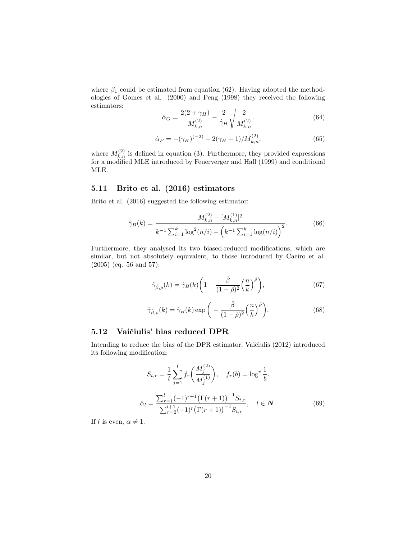where  $\beta_1$  could be estimated from equation (62). Having adopted the methodologies of Gomes et al. (2000) and Peng (1998) they received the following estimators:

$$
\hat{\alpha}_G = \frac{2(2+\gamma_H)}{M_{k,n}^{(2)}} - \frac{2}{\hat{\gamma}_H} \sqrt{\frac{2}{M_{k,n}^{(2)}}}. \tag{64}
$$

$$
\hat{\alpha}_P = -(\gamma_H)^{(-2)} + 2(\gamma_H + 1) / M_{k,n}^{(2)},\tag{65}
$$

where  $M_{k,n}^{(2)}$  is defined in equation (3). Furthermore, they provided expressions for a modified MLE introduced by Feuerverger and Hall (1999) and conditional MLE.

# 5.11 Brito et al. (2016) estimators

Brito et al. (2016) suggested the following estimator:

$$
\hat{\gamma}_B(k) = \frac{M_{k,n}^{(2)} - [M_{k,n}^{(1)}]^2}{k^{-1} \sum_{i=1}^k \log^2(n/i) - \left(k^{-1} \sum_{i=1}^k \log(n/i)\right)^2}.
$$
(66)

Furthermore, they analysed its two biased-reduced modifications, which are similar, but not absolutely equivalent, to those introduced by Caeiro et al. (2005) (eq. 56 and 57):

$$
\hat{\gamma}_{\hat{\beta},\hat{\rho}}(k) = \hat{\gamma}_B(k) \left( 1 - \frac{\hat{\beta}}{(1-\hat{\rho})^2} \left( \frac{n}{k} \right)^{\hat{\rho}} \right),\tag{67}
$$

$$
\hat{\gamma}_{\hat{\beta},\hat{\rho}}(k) = \hat{\gamma}_B(k) \exp\bigg(-\frac{\hat{\beta}}{(1-\hat{\rho})^2} \Big(\frac{n}{k}\Big)^{\hat{\rho}}\bigg). \tag{68}
$$

# 5.12 Vaičiulis' bias reduced DPR

Intending to reduce the bias of the DPR estimator, Vaičiulis (2012) introduced its following modification:

$$
S_{t,r} = \frac{1}{t} \sum_{j=1}^{t} f_r \left( \frac{M_j^{(2)}}{M_j^{(1)}} \right), \quad f_r(b) = \log^r \frac{1}{b}.
$$
  

$$
\hat{\alpha}_l = \frac{\sum_{r=1}^{l} (-1)^{r+1} \left( \Gamma(r+1) \right)^{-1} S_{t,r}}{\sum_{r=2}^{l+1} (-1)^r \left( \Gamma(r+1) \right)^{-1} S_{t,r}}, \quad l \in \mathbb{N}.
$$
 (69)

If l is even,  $\alpha \neq 1$ .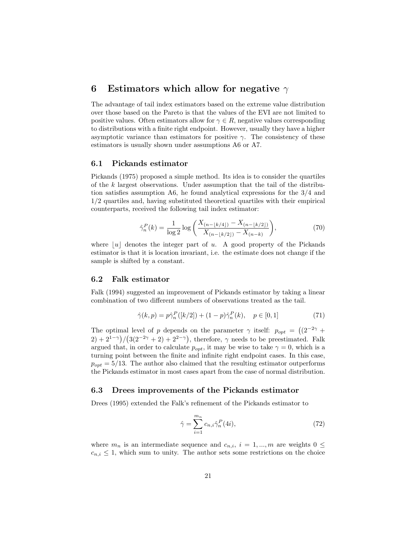# 6 Estimators which allow for negative  $\gamma$

The advantage of tail index estimators based on the extreme value distribution over those based on the Pareto is that the values of the EVI are not limited to positive values. Often estimators allow for  $\gamma \in R$ , negative values corresponding to distributions with a finite right endpoint. However, usually they have a higher asymptotic variance than estimators for positive  $\gamma$ . The consistency of these estimators is usually shown under assumptions A6 or A7.

#### 6.1 Pickands estimator

Pickands (1975) proposed a simple method. Its idea is to consider the quartiles of the k largest observations. Under assumption that the tail of the distribution satisfies assumption A6, he found analytical expressions for the 3/4 and 1/2 quartiles and, having substituted theoretical quartiles with their empirical counterparts, received the following tail index estimator:

$$
\hat{\gamma}_n^P(k) = \frac{1}{\log 2} \log \left( \frac{X_{(n-\lfloor k/4 \rfloor)} - X_{(n-\lfloor k/2 \rfloor)}}{X_{(n-\lfloor k/2 \rfloor)} - X_{(n-k)}} \right),\tag{70}
$$

where  $|u|$  denotes the integer part of u. A good property of the Pickands estimator is that it is location invariant, i.e. the estimate does not change if the sample is shifted by a constant.

#### 6.2 Falk estimator

Falk (1994) suggested an improvement of Pickands estimator by taking a linear combination of two different numbers of observations treated as the tail.

$$
\hat{\gamma}(k, p) = p\hat{\gamma}_n^P([k/2]) + (1 - p)\hat{\gamma}_n^P(k), \quad p \in [0, 1]
$$
\n(71)

The optimal level of p depends on the parameter  $\gamma$  itself:  $p_{opt} = ((2^{-2\gamma} +$  $2+2^{1-\gamma}$  $/(3(2^{-2\gamma}+2)+2^{2-\gamma})$ , therefore,  $\gamma$  needs to be preestimated. Falk argued that, in order to calculate  $p_{opt}$ , it may be wise to take  $\gamma = 0$ , which is a turning point between the finite and infinite right endpoint cases. In this case,  $p_{opt} = 5/13$ . The author also claimed that the resulting estimator outperforms the Pickands estimator in most cases apart from the case of normal distribution.

#### 6.3 Drees improvements of the Pickands estimator

Drees (1995) extended the Falk's refinement of the Pickands estimator to

$$
\hat{\gamma} = \sum_{i=1}^{m_n} c_{n,i} \hat{\gamma}_n^P(4i),\tag{72}
$$

where  $m_n$  is an intermediate sequence and  $c_{n,i}$ ,  $i = 1, ..., m$  are weights  $0 \leq$  $c_{n,i} \leq 1$ , which sum to unity. The author sets some restrictions on the choice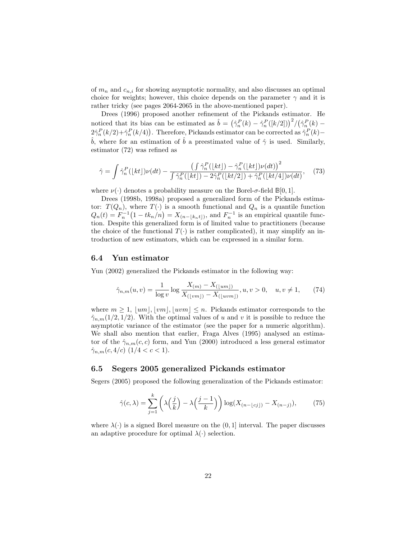of  $m_n$  and  $c_{n,i}$  for showing asymptotic normality, and also discusses an optimal choice for weights; however, this choice depends on the parameter  $\gamma$  and it is rather tricky (see pages 2064-2065 in the above-mentioned paper).

Drees (1996) proposed another refinement of the Pickands estimator. He noticed that its bias can be estimated as  $\hat{b} = (\hat{\gamma}_n^P(k) - \hat{\gamma}_n^P([k/2]))^2/(\hat{\gamma}_n^P(k) 2\hat{\gamma}_n^P(k/2) + \hat{\gamma}_n^P(k/4)$ . Therefore, Pickands estimator can be corrected as  $\hat{\gamma}_n^P(k)$  – b, where for an estimation of b a preestimated value of  $\hat{\gamma}$  is used. Similarly, estimator (72) was refined as

$$
\hat{\gamma} = \int \hat{\gamma}_n^P(\lfloor kt \rfloor) \nu(dt) - \frac{\left(\int \hat{\gamma}_n^P(\lfloor kt \rfloor) - \hat{\gamma}_n^P(\lfloor kt \rfloor) \nu(dt)\right)^2}{\int \hat{\gamma}_n^P(\lfloor kt \rfloor) - 2\hat{\gamma}_n^P(\lfloor kt \rfloor) + \hat{\gamma}_n^P(\lfloor kt \rfloor) \nu(dt)},\tag{73}
$$

where  $\nu(\cdot)$  denotes a probability measure on the Borel- $\sigma$ -field  $\mathbb{B}[0,1]$ .

Drees (1998b, 1998a) proposed a generalized form of the Pickands estimator:  $T(Q_n)$ , where  $T(\cdot)$  is a smooth functional and  $Q_n$  is a quantile function  $Q_n(t) = F_n^{-1} (1 - tk_n/n) = X_{(n - \lfloor k_n t \rfloor)}$ , and  $F_n^{-1}$  is an empirical quantile function. Despite this generalized form is of limited value to practitioners (because the choice of the functional  $T(\cdot)$  is rather complicated), it may simplify an introduction of new estimators, which can be expressed in a similar form.

#### 6.4 Yun estimator

Yun (2002) generalized the Pickands estimator in the following way:

$$
\hat{\gamma}_{n,m}(u,v) = \frac{1}{\log v} \log \frac{X_{(m)} - X_{(\lfloor um \rfloor)}}{X_{(\lfloor vw \rfloor)} - X_{(\lfloor uvm \rfloor)}}, u, v > 0, \quad u, v \neq 1,
$$
 (74)

where  $m \geq 1$ ,  $\lfloor um \rfloor, \lfloor v m \rfloor, \lfloor u v m \rfloor \leq n$ . Pickands estimator corresponds to the  $\hat{\gamma}_{n,m}(1/2, 1/2)$ . With the optimal values of u and v it is possible to reduce the asymptotic variance of the estimator (see the paper for a numeric algorithm). We shall also mention that earlier, Fraga Alves (1995) analysed an estimator of the  $\hat{\gamma}_{n,m}(c, c)$  form, and Yun (2000) introduced a less general estimator  $\hat{\gamma}_{n,m}(c,4/c)$   $(1/4 < c < 1).$ 

#### 6.5 Segers 2005 generalized Pickands estimator

Segers (2005) proposed the following generalization of the Pickands estimator:

$$
\hat{\gamma}(c,\lambda) = \sum_{j=1}^{k} \left(\lambda\left(\frac{j}{k}\right) - \lambda\left(\frac{j-1}{k}\right)\right) \log(X_{(n-\lfloor cj\rfloor)} - X_{(n-j)}),\tag{75}
$$

where  $\lambda(\cdot)$  is a signed Borel measure on the  $(0, 1]$  interval. The paper discusses an adaptive procedure for optimal  $\lambda(\cdot)$  selection.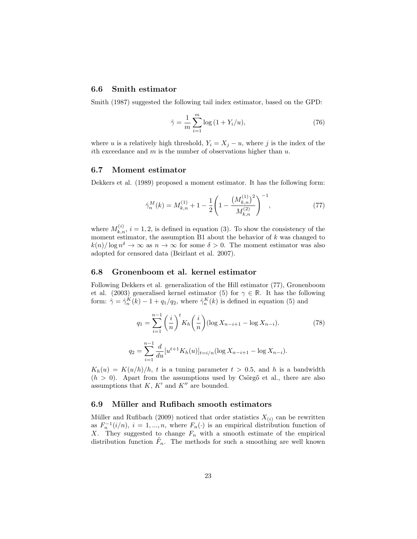#### 6.6 Smith estimator

Smith (1987) suggested the following tail index estimator, based on the GPD:

$$
\hat{\gamma} = \frac{1}{m} \sum_{i=1}^{m} \log(1 + Y_i/u),\tag{76}
$$

where u is a relatively high threshold,  $Y_i = X_j - u$ , where j is the index of the ith exceedance and  $m$  is the number of observations higher than  $u$ .

#### 6.7 Moment estimator

Dekkers et al. (1989) proposed a moment estimator. It has the following form:

$$
\hat{\gamma}_n^M(k) = M_{k,n}^{(1)} + 1 - \frac{1}{2} \left( 1 - \frac{\left( M_{k,n}^{(1)} \right)^2}{M_{k,n}^{(2)}} \right)^{-1},\tag{77}
$$

where  $M_{k,n}^{(i)}$ ,  $i = 1, 2$ , is defined in equation (3). To show the consistency of the moment estimator, the assumption B1 about the behavior of  $k$  was changed to  $k(n)/\log n^{\delta} \to \infty$  as  $n \to \infty$  for some  $\delta > 0$ . The moment estimator was also adopted for censored data (Beirlant et al. 2007).

#### 6.8 Gronenboom et al. kernel estimator

Following Dekkers et al. generalization of the Hill estimator (77), Gronenboom et al. (2003) generalised kernel estimator (5) for  $\gamma \in \mathbb{R}$ . It has the following form:  $\hat{\gamma} = \hat{\gamma}_n^K(k) - 1 + q_1/q_2$ , where  $\hat{\gamma}_n^K(k)$  is defined in equation (5) and

$$
q_1 = \sum_{i=1}^{n-1} \left(\frac{i}{n}\right)^t K_h\left(\frac{i}{n}\right) (\log X_{n-i+1} - \log X_{n-i}).\tag{78}
$$

$$
q_2 = \sum_{i=1}^{n-1} \frac{d}{du} [u^{t+1} K_h(u)]_{t=i/n} (\log X_{n-i+1} - \log X_{n-i}).
$$

 $K_h(u) = K(u/h)/h$ , t is a tuning parameter  $t > 0.5$ , and h is a bandwidth  $(h > 0)$ . Apart from the assumptions used by Csörgő et al., there are also assumptions that  $K, K'$  and  $K''$  are bounded.

#### 6.9 Müller and Rufibach smooth estimators

Müller and Rufibach (2009) noticed that order statistics  $X_{(i)}$  can be rewritten as  $F_n^{-1}(i/n)$ ,  $i = 1, ..., n$ , where  $F_n(\cdot)$  is an empirical distribution function of X. They suggested to change  $F_n$  with a smooth estimate of the empirical distribution function  $\tilde{F}_n$ . The methods for such a smoothing are well known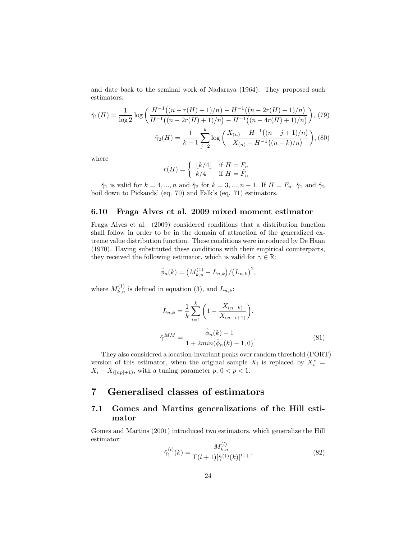and date back to the seminal work of Nadaraya (1964). They proposed such estimators:

$$
\hat{\gamma}_1(H) = \frac{1}{\log 2} \log \left( \frac{H^{-1}((n - r(H) + 1)/n) - H^{-1}((n - 2r(H) + 1)/n)}{H^{-1}((n - 2r(H) + 1)/n) - H^{-1}((n - 4r(H) + 1)/n)} \right), (79)
$$

$$
\hat{\gamma}_2(H) = \frac{1}{k - 1} \sum_{j = 2}^k \log \left( \frac{X_{(n)} - H^{-1}((n - j + 1)/n)}{X_{(n)} - H^{-1}((n - k)/n)} \right), (80)
$$

where

$$
r(H) = \left\{ \begin{array}{ll} \lfloor k/4 \rfloor & \text{if} \ H = F_n \\ k/4 & \text{if} \ H = \tilde{F}_n \end{array} \right.
$$

 $\hat{\gamma}_1$  is valid for  $k = 4, ..., n$  and  $\hat{\gamma}_2$  for  $k = 3, ..., n - 1$ . If  $H = F_n$ ,  $\hat{\gamma}_1$  and  $\hat{\gamma}_2$ boil down to Pickands' (eq. 70) and Falk's (eq. 71) estimators.

#### 6.10 Fraga Alves et al. 2009 mixed moment estimator

Fraga Alves et al. (2009) considered conditions that a distribution function shall follow in order to be in the domain of attraction of the generalized extreme value distribution function. These conditions were introduced by De Haan (1970). Having substituted these conditions with their empirical counterparts, they received the following estimator, which is valid for  $\gamma \in \mathbb{R}$ :

$$
\hat{\phi}_n(k) = \left( M_{k,n}^{(1)} - L_{n,k} \right) / \left( L_{n,k} \right)^2,
$$

where  $M_{k,n}^{(1)}$  is defined in equation (3), and  $L_{n,k}$ :

$$
L_{n,k} = \frac{1}{k} \sum_{i=1}^{k} \left( 1 - \frac{X_{(n-k)}}{X_{(n-i+1)}} \right).
$$
  

$$
\hat{\gamma}^{MM} = \frac{\hat{\phi}_n(k) - 1}{1 + 2\min(\hat{\phi}_n(k) - 1, 0)}.
$$
 (81)

They also considered a location-invariant peaks over random threshold (PORT) version of this estimator, when the original sample  $X_i$  is replaced by  $X_i^* =$  $X_i - X_{([np]+1)}$ , with a tuning parameter p,  $0 < p < 1$ .

# 7 Generalised classes of estimators

# 7.1 Gomes and Martins generalizations of the Hill estimator

Gomes and Martins (2001) introduced two estimators, which generalize the Hill estimator:

$$
\hat{\gamma}_1^{(l)}(k) = \frac{M_{k,n}^{(l)}}{\Gamma(l+1)[\hat{\gamma}^{(1)}(k)]^{l-1}}.\tag{82}
$$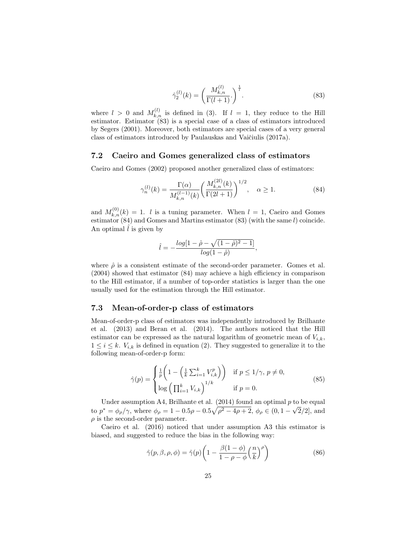$$
\hat{\gamma}_2^{(l)}(k) = \left(\frac{M_{k,n}^{(l)}}{\Gamma(l+1)}\right)^{\frac{1}{l}}.\tag{83}
$$

where  $l > 0$  and  $M_{k,n}^{(l)}$  is defined in (3). If  $l = 1$ , they reduce to the Hill estimator. Estimator (83) is a special case of a class of estimators introduced by Segers (2001). Moreover, both estimators are special cases of a very general class of estimators introduced by Paulauskas and Vaičiulis (2017a).

#### 7.2 Caeiro and Gomes generalized class of estimators

Caeiro and Gomes (2002) proposed another generalized class of estimators:

$$
\gamma_n^{(l)}(k) = \frac{\Gamma(\alpha)}{M_{k,n}^{(l-1)}(k)} \left(\frac{M_{k,n}^{(2l)}(k)}{\Gamma(2l+1)}\right)^{1/2}, \quad \alpha \ge 1.
$$
\n(84)

,

and  $M_{k,n}^{(0)}(k) = 1$ . l is a tuning parameter. When  $l = 1$ , Caeiro and Gomes estimator  $(84)$  and Gomes and Martins estimator  $(83)$  (with the same l) coincide. An optimal  $\hat{l}$  is given by

$$
\hat{l} = -\frac{log[1-\hat{\rho}-\sqrt{(1-\hat{\rho})^2-1}]}{log(1-\hat{\rho})}
$$

where  $\hat{\rho}$  is a consistent estimate of the second-order parameter. Gomes et al. (2004) showed that estimator (84) may achieve a high efficiency in comparison to the Hill estimator, if a number of top-order statistics is larger than the one usually used for the estimation through the Hill estimator.

#### 7.3 Mean-of-order-p class of estimators

Mean-of-order-p class of estimators was independently introduced by Brilhante et al. (2013) and Beran et al. (2014). The authors noticed that the Hill estimator can be expressed as the natural logarithm of geometric mean of  $V_{i,k}$ ,  $1 \leq i \leq k$ .  $V_{i,k}$  is defined in equation (2). They suggested to generalize it to the following mean-of-order-p form:

$$
\hat{\gamma}(p) = \begin{cases} \frac{1}{p} \left( 1 - \left( \frac{1}{k} \sum_{i=1}^{k} V_{i,k}^{p} \right) \right) & \text{if } p \le 1/\gamma, \ p \neq 0, \\ \log \left( \prod_{i=1}^{k} V_{i,k} \right)^{1/k} & \text{if } p = 0. \end{cases}
$$
\n
$$
(85)
$$

Under assumption A4, Brilhante et al.  $(2014)$  found an optimal p to be equal to  $p^* = \phi_\rho/\gamma$ , where  $\phi_\rho = 1 - 0.5\rho - 0.5\sqrt{\rho^2 - 4\rho + 2}$ ,  $\phi_\rho \in (0, 1 - \sqrt{2}/2]$ , and  $\rho$  is the second-order parameter.

Caeiro et al. (2016) noticed that under assumption A3 this estimator is biased, and suggested to reduce the bias in the following way:

$$
\hat{\gamma}(p,\beta,\rho,\phi) = \hat{\gamma}(p) \left( 1 - \frac{\beta(1-\phi)}{1-\rho-\phi} \left(\frac{n}{k}\right)^{\rho} \right) \tag{86}
$$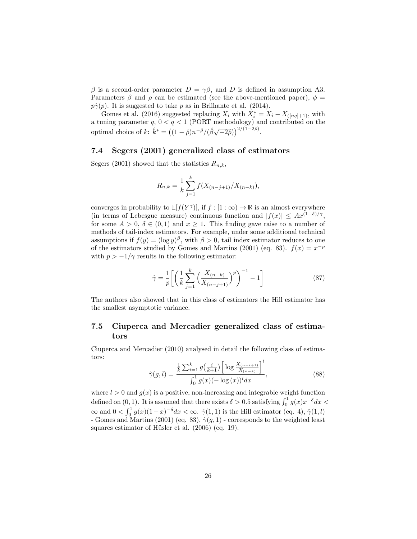β is a second-order parameter  $D = \gamma \beta$ , and D is defined in assumption A3. Parameters  $\beta$  and  $\rho$  can be estimated (see the above-mentioned paper),  $\phi$  =  $p\hat{\gamma}(p)$ . It is suggested to take p as in Brilhante et al. (2014).

Gomes et al. (2016) suggested replacing  $X_i$  with  $X_i^* = X_i - X_{([nq]+1)}$ , with a tuning parameter  $q, 0 < q < 1$  (PORT methodology) and contributed on the optimal choice of  $k: \hat{k}^* = ((1 - \hat{\rho})n^{-\hat{\rho}}/(\hat{\beta}\sqrt{-2\hat{\rho}}))^{2/(1-2\hat{\rho})}.$ 

#### 7.4 Segers (2001) generalized class of estimators

Segers (2001) showed that the statistics  $R_{n,k}$ ,

$$
R_{n,k} = \frac{1}{k} \sum_{j=1}^{k} f(X_{(n-j+1)}/X_{(n-k)}),
$$

converges in probability to  $\mathbb{E}[f(Y^{\gamma})],$  if  $f : [1 : \infty) \to \mathbb{R}$  is an almost everywhere (in terms of Lebesgue measure) continuous function and  $|f(x)| \leq Ax^{(1-\delta)/\gamma}$ , for some  $A > 0$ ,  $\delta \in (0,1)$  and  $x \ge 1$ . This finding gave raise to a number of methods of tail-index estimators. For example, under some additional technical assumptions if  $f(y) = (\log y)^{\beta}$ , with  $\beta > 0$ , tail index estimator reduces to one of the estimators studied by Gomes and Martins (2001) (eq. 83).  $f(x) = x^{-p}$ with  $p > -1/\gamma$  results in the following estimator:

$$
\hat{\gamma} = \frac{1}{p} \left[ \left( \frac{1}{k} \sum_{j=1}^{k} \left( \frac{X_{(n-k)}}{X_{(n-j+1)}} \right)^p \right)^{-1} - 1 \right]
$$
(87)

The authors also showed that in this class of estimators the Hill estimator has the smallest asymptotic variance.

# 7.5 Ciuperca and Mercadier generalized class of estimators

Ciuperca and Mercadier (2010) analysed in detail the following class of estimators:

$$
\hat{\gamma}(g,l) = \frac{\frac{1}{k} \sum_{i=1}^{k} g\left(\frac{i}{k+1}\right) \left[ \log \frac{X_{(n-i+1)}}{X_{(n-k)}} \right]^l}{\int_0^1 g(x) (-\log(x))^l dx},
$$
\n(88)

where  $l > 0$  and  $g(x)$  is a positive, non-increasing and integrable weight function defined on (0, 1). It is assumed that there exists  $\delta > 0.5$  satisfying  $\int_0^1 g(x) x^{-\delta} dx <$  $\infty$  and  $0 < \int_0^1 g(x)(1-x)^{-\delta} dx < \infty$ .  $\hat{\gamma}(1,1)$  is the Hill estimator (eq. 4),  $\hat{\gamma}(1,l)$ - Gomes and Martins (2001) (eq. 83),  $\hat{\gamma}(g, 1)$  - corresponds to the weighted least squares estimator of Hüsler et al.  $(2006)$  (eq. 19).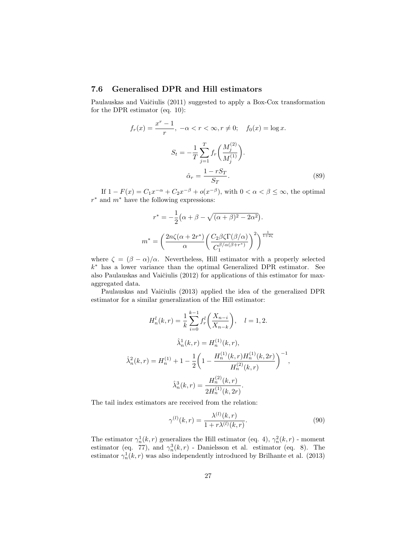# 7.6 Generalised DPR and Hill estimators

Paulauskas and Vaičiulis (2011) suggested to apply a Box-Cox transformation for the DPR estimator (eq. 10):

$$
f_r(x) = \frac{x^r - 1}{r}, \ -\alpha < r < \infty, r \neq 0; \quad f_0(x) = \log x.
$$
\n
$$
S_t = -\frac{1}{T} \sum_{j=1}^T f_r\left(\frac{M_j^{(2)}}{M_j^{(1)}}\right).
$$
\n
$$
\hat{\alpha}_r = \frac{1 - rS_T}{S_T}.
$$
\n(89)

If  $1 - F(x) = C_1 x^{-\alpha} + C_2 x^{-\beta} + o(x^{-\beta})$ , with  $0 < \alpha < \beta \leq \infty$ , the optimal  $r^*$  and  $m^*$  have the following expressions:

$$
r^* = -\frac{1}{2} \left( \alpha + \beta - \sqrt{(\alpha + \beta)^2 - 2\alpha^2} \right).
$$

$$
m^* = \left( \frac{2n\zeta(\alpha + 2r^*)}{\alpha} \left( \frac{C_2\beta\zeta\Gamma(\beta/\alpha)}{C_1^{\beta/\alpha(\beta + r^*)}} \right)^2 \right)^{\frac{1}{1+2\zeta}}
$$

where  $\zeta = (\beta - \alpha)/\alpha$ . Nevertheless, Hill estimator with a properly selected k <sup>∗</sup> has a lower variance than the optimal Generalized DPR estimator. See also Paulauskas and Vaičiulis (2012) for applications of this estimator for maxaggregated data.

Paulauskas and Vaičiulis (2013) applied the idea of the generalized DPR estimator for a similar generalization of the Hill estimator:

$$
H_n^l(k,r) = \frac{1}{k} \sum_{i=0}^{k-1} f_r^l \left( \frac{X_{n-i}}{X_{n-k}} \right), \quad l = 1, 2.
$$
  

$$
\hat{\lambda}_n^1(k,r) = H_n^{(1)}(k,r),
$$
  

$$
\hat{\lambda}_n^2(k,r) = H_n^{(1)} + 1 - \frac{1}{2} \left( 1 - \frac{H_n^{(1)}(k,r)H_n^{(1)}(k,2r)}{H_n^{(2)}(k,r)} \right)^{-1},
$$
  

$$
\hat{\lambda}_n^3(k,r) = \frac{H_n^{(2)}(k,r)}{2H_n^{(1)}(k,2r)}.
$$

The tail index estimators are received from the relation:

$$
\gamma^{(l)}(k,r) = \frac{\lambda^{(l)}(k,r)}{1 + r\lambda^{(l)}(k,r)}.
$$
\n(90)

The estimator  $\gamma_n^1(k, r)$  generalizes the Hill estimator (eq. 4),  $\gamma_n^2(k, r)$  - moment estimator (eq. 77), and  $\gamma_n^3(k,r)$  - Danielsson et al. estimator (eq. 8). The estimator  $\gamma_n^1(k, r)$  was also independently introduced by Brilhante et al. (2013)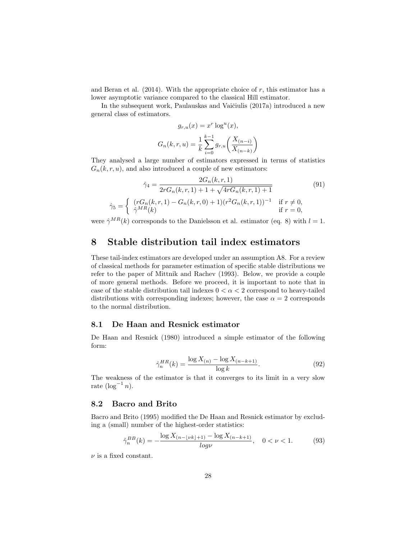and Beran et al.  $(2014)$ . With the appropriate choice of r, this estimator has a lower asymptotic variance compared to the classical Hill estimator.

In the subsequent work, Paulauskas and Vaičiulis (2017a) introduced a new general class of estimators.

$$
g_{r,u}(x) = x^r \log^u(x),
$$
  

$$
G_n(k, r, u) = \frac{1}{k} \sum_{i=0}^{k-1} g_{r,u}\left(\frac{X_{(n-i)}}{X_{(n-k)}}\right)
$$

They analysed a large number of estimators expressed in terms of statistics  $G_n(k, r, u)$ , and also introduced a couple of new estimators:

$$
\hat{\gamma}_4 = \frac{2G_n(k, r, 1)}{2rG_n(k, r, 1) + 1 + \sqrt{4rG_n(k, r, 1) + 1}}
$$
(91)  

$$
\hat{\gamma}_5 = \begin{cases} (rG_n(k, r, 1) - G_n(k, r, 0) + 1)(r^2G_n(k, r, 1))^{-1} & \text{if } r \neq 0, \\ \hat{\gamma}^{MR}(k) & \text{if } r = 0, \end{cases}
$$

were  $\hat{\gamma}^{MR}(k)$  corresponds to the Danielsson et al. estimator (eq. 8) with  $l = 1$ .

# 8 Stable distribution tail index estimators

These tail-index estimators are developed under an assumption A8. For a review of classical methods for parameter estimation of specific stable distributions we refer to the paper of Mittnik and Rachev (1993). Below, we provide a couple of more general methods. Before we proceed, it is important to note that in case of the stable distribution tail indexes  $0 < \alpha < 2$  correspond to heavy-tailed distributions with corresponding indexes; however, the case  $\alpha = 2$  corresponds to the normal distribution.

#### 8.1 De Haan and Resnick estimator

De Haan and Resnick (1980) introduced a simple estimator of the following form:

$$
\hat{\gamma}_n^{HR}(k) = \frac{\log X_{(n)} - \log X_{(n-k+1)}}{\log k}.
$$
\n(92)

The weakness of the estimator is that it converges to its limit in a very slow rate  $(\log^{-1} n)$ .

# 8.2 Bacro and Brito

Bacro and Brito (1995) modified the De Haan and Resnick estimator by excluding a (small) number of the highest-order statistics:

$$
\hat{\gamma}_n^{BB}(k) = -\frac{\log X_{(n-\lfloor \nu k \rfloor+1)} - \log X_{(n-k+1)}}{\log \nu}, \quad 0 < \nu < 1. \tag{93}
$$

 $\nu$  is a fixed constant.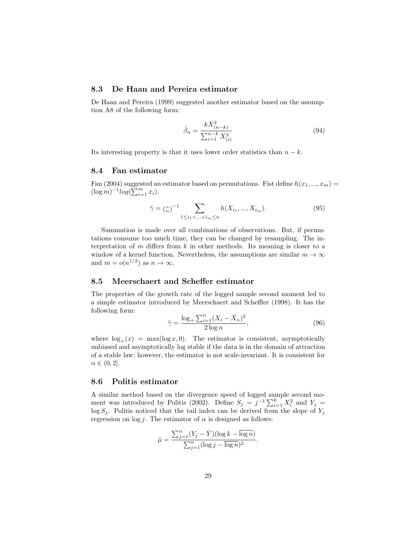# 8.3 De Haan and Pereira estimator

De Haan and Pereira (1999) suggested another estimator based on the assumption A8 of the following form:

$$
\hat{\beta}_n = \frac{kX_{(n-k)}^2}{\sum_{i=1}^{n-k} X_{(i)}^2} \tag{94}
$$

Its interesting property is that it uses lower order statistics than  $n - k$ .

#### 8.4 Fan estimator

Fan (2004) suggested an estimator based on permutations. Fist define  $h(x_1, ..., x_m) =$  $(\log m)^{-1} log(\sum_{i=1}^{m} x_i).$ 

$$
\hat{\gamma} = \binom{n}{m}^{-1} \sum_{1 \le i_1 < \ldots < i_m \le n} h(X_{i_1}, \ldots, X_{i_m}).\tag{95}
$$

Summation is made over all combinations of observations. But, if permutations consume too much time, they can be changed by resampling. The interpretation of  $m$  differs from  $k$  in other methods. Its meaning is closer to a window of a kernel function. Nevertheless, the assumptions are similar  $m \to \infty$ and  $m = o(n^{1/2})$  as  $n \to \infty$ .

#### 8.5 Meerschaert and Scheffer estimator

The properties of the growth rate of the logged sample second moment led to a simple estimator introduced by Meerschaert and Scheffler (1998). It has the following form:

$$
\hat{\gamma} = \frac{\log_+ \sum_{i=1}^n (X_i - \bar{X}_n)^2}{2 \log n},\tag{96}
$$

.

where  $\log_+(x) = \max(\log x, 0)$ . The estimator is consistent, asymptotically unbiased and asymptotically log stable if the data is in the domain of attraction of a stable law; however, the estimator is not scale-invariant. It is consistent for  $\alpha \in (0,2].$ 

### 8.6 Politis estimator

A similar method based on the divergence speed of logged sample second moment was introduced by Politis (2002). Define  $S_j = j^{-1} \sum_{i=1}^k X_i^2$  and  $Y_j =$  $\log S_i$ . Politis noticed that the tail index can be derived from the slope of  $Y_i$ regression on log j. The estimator of  $\alpha$  is designed as follows:

$$
\hat{\mu} = \frac{\sum_{j=1}^{n} (Y_j - \bar{Y})(\log k - \overline{\log n})}{\sum_{j=1}^{n} (\log j - \overline{\log n})^2}
$$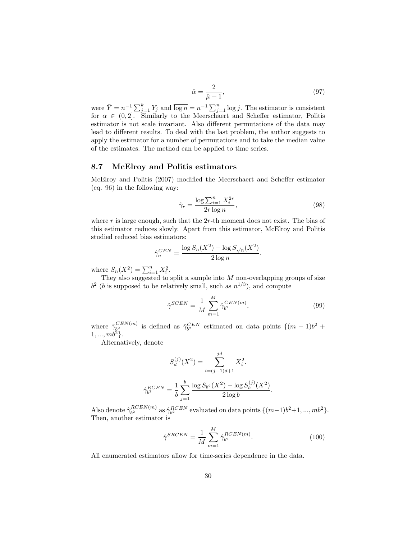$$
\hat{\alpha} = \frac{2}{\hat{\mu} + 1},\tag{97}
$$

were  $\bar{Y} = n^{-1} \sum_{j=1}^{k} Y_j$  and  $\overline{\log n} = n^{-1} \sum_{j=1}^{n} \log j$ . The estimator is consistent for  $\alpha \in (0, 2]$ . Similarly to the Meerschaert and Scheffer estimator, Politis estimator is not scale invariant. Also different permutations of the data may lead to different results. To deal with the last problem, the author suggests to apply the estimator for a number of permutations and to take the median value of the estimates. The method can be applied to time series.

#### 8.7 McElroy and Politis estimators

McElroy and Politis (2007) modified the Meerschaert and Scheffer estimator (eq. 96) in the following way:

$$
\hat{\gamma}_r = \frac{\log \sum_{i=1}^n X_i^{2r}}{2r \log n},\tag{98}
$$

where  $r$  is large enough, such that the  $2r$ -th moment does not exist. The bias of this estimator reduces slowly. Apart from this estimator, McElroy and Politis studied reduced bias estimators:

$$
\hat{\gamma}_n^{CEN} = \frac{\log S_n(X^2) - \log S_{\sqrt{n}}(X^2)}{2 \log n}.
$$

where  $S_n(X^2) = \sum_{i=1}^n X_i^2$ .

They also suggested to split a sample into  $M$  non-overlapping groups of size  $b<sup>2</sup>$  (*b* is supposed to be relatively small, such as  $n<sup>1/3</sup>$ ), and compute

$$
\hat{\gamma}^{SCEN} = \frac{1}{M} \sum_{m=1}^{M} \hat{\gamma}_{b^2}^{CEN(m)},\tag{99}
$$

where  $\hat{\gamma}_{h2}^{CEN(m)}$  $\frac{CEN(m)}{b_1^2}$  is defined as  $\hat{\gamma}_{b^2}^{CEN}$  estimated on data points  $\{(m-1)b^2 +$  $1, ..., mb^2$ .

Alternatively, denote

$$
S_d^{(j)}(X^2) = \sum_{i=(j-1)d+1}^{jd} X_i^2.
$$

$$
\hat{\gamma}_{b^2}^{RCEN} = \frac{1}{b} \sum_{j=1}^b \frac{\log S_{b^2}(X^2) - \log S_b^{(j)}(X^2)}{2 \log b}.
$$

Also denote  $\hat{\gamma}_{h2}^{RCEN(m)}$  $b^2_{b^2}$  as  $\hat{\gamma}_{b^2}^{RCEN}$  evaluated on data points  $\{(m-1)b^2+1, ..., mb^2\}.$ Then, another estimator is

$$
\hat{\gamma}^{SRCEN} = \frac{1}{M} \sum_{m=1}^{M} \hat{\gamma}_{b^2}^{RCEN(m)}.
$$
\n(100)

All enumerated estimators allow for time-series dependence in the data.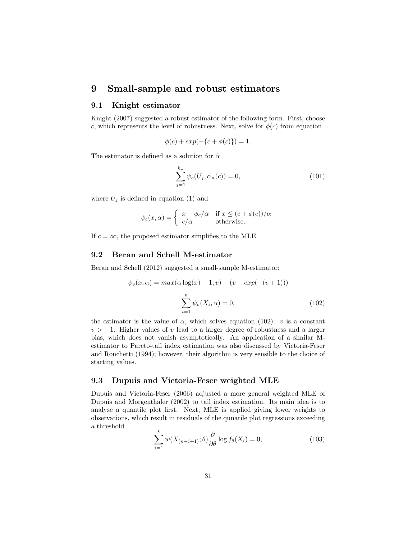# 9 Small-sample and robust estimators

# 9.1 Knight estimator

Knight (2007) suggested a robust estimator of the following form. First, choose c, which represents the level of robustness. Next, solve for  $\phi(c)$  from equation

$$
\phi(c) + exp(-\{c + \phi(c)\}) = 1.
$$

The estimator is defined as a solution for  $\tilde{\alpha}$ 

$$
\sum_{j=1}^{k_n} \psi_c(U_j, \tilde{\alpha}_n(c)) = 0,
$$
\n(101)

where  $U_j$  is defined in equation (1) and

$$
\psi_c(x,\alpha) = \begin{cases} x - \phi_c/\alpha & \text{if } x \le (c + \phi(c))/\alpha \\ c/\alpha & \text{otherwise.} \end{cases}
$$

If  $c = \infty$ , the proposed estimator simplifies to the MLE.

# 9.2 Beran and Schell M-estimator

Beran and Schell (2012) suggested a small-sample M-estimator:

$$
\psi_v(x, \alpha) = \max(\alpha \log(x) - 1, v) - (v + \exp(-(v + 1)))
$$

$$
\sum_{i=1}^n \psi_v(X_i, \alpha) = 0,
$$
(102)

the estimator is the value of  $\alpha$ , which solves equation (102). v is a constant  $v > -1$ . Higher values of v lead to a larger degree of robustness and a larger bias, which does not vanish asymptotically. An application of a similar Mestimator to Pareto-tail index estimation was also discussed by Victoria-Feser and Ronchetti (1994); however, their algorithm is very sensible to the choice of starting values.

#### 9.3 Dupuis and Victoria-Feser weighted MLE

Dupuis and Victoria-Feser (2006) adjusted a more general weighted MLE of Dupuis and Morgenthaler (2002) to tail index estimation. Its main idea is to analyse a quantile plot first. Next, MLE is applied giving lower weights to observations, which result in residuals of the qunatile plot regressions exceeding a threshold.

$$
\sum_{i=1}^{k} w(X_{(n-i+1)}; \theta) \frac{\partial}{\partial \theta} \log f_{\theta}(X_i) = 0,
$$
\n(103)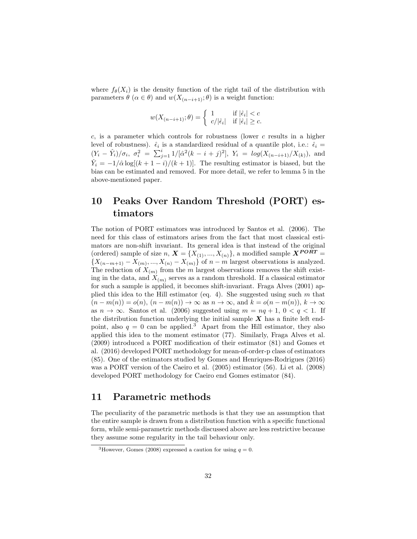where  $f_{\theta}(X_i)$  is the density function of the right tail of the distribution with parameters  $\theta$  ( $\alpha \in \theta$ ) and  $w(X_{(n-i+1)}; \theta)$  is a weight function:

$$
w(X_{(n-i+1)}; \theta) = \begin{cases} 1 & \text{if } |\hat{\epsilon}_i| < c \\ c/|\hat{\epsilon}_i| & \text{if } |\hat{\epsilon}_i| \ge c. \end{cases}
$$

c, is a parameter which controls for robustness (lower c results in a higher level of robustness).  $\hat{\epsilon}_i$  is a standardized residual of a quantile plot, i.e.:  $\hat{\epsilon}_i$  =  $(Y_i - \hat{Y}_i)/\sigma_i$ ,  $\sigma_i^2 = \sum_{j=1}^i 1/[\hat{\alpha}^2(k-i+j)^2]$ ,  $Y_i = \log(X_{(n-i+1)}/X_{(k)})$ , and  $\hat{Y}_i = -1/\hat{\alpha} \log[(k+1-i)/(k+1)]$ . The resulting estimator is biased, but the bias can be estimated and removed. For more detail, we refer to lemma 5 in the above-mentioned paper.

# 10 Peaks Over Random Threshold (PORT) estimators

The notion of PORT estimators was introduced by Santos et al. (2006). The need for this class of estimators arises from the fact that most classical estimators are non-shift invariant. Its general idea is that instead of the original (ordered) sample of size  $n, X = \{X_{(1)}, ..., X_{(n)}\}$ , a modified sample  $X^{PORT} =$  $\{X_{(n-m+1)} - X_{(m)}, \ldots, X_{(n)} - X_{(m)}\}$  of  $n-m$  largest observations is analyzed. The reduction of  $X_{(m)}$  from the m largest observations removes the shift existing in the data, and  $X_{(m)}$  serves as a random threshold. If a classical estimator for such a sample is applied, it becomes shift-invariant. Fraga Alves (2001) applied this idea to the Hill estimator (eq. 4). She suggested using such  $m$  that  $(n - m(n)) = o(n), (n - m(n)) \rightarrow \infty$  as  $n \rightarrow \infty$ , and  $k = o(n - m(n)), k \rightarrow \infty$ as  $n \to \infty$ . Santos et al. (2006) suggested using  $m = nq + 1$ ,  $0 < q < 1$ . If the distribution function underlying the initial sample  $X$  has a finite left endpoint, also  $q = 0$  can be applied.<sup>3</sup> Apart from the Hill estimator, they also applied this idea to the moment estimator (77). Similarly, Fraga Alves et al. (2009) introduced a PORT modification of their estimator (81) and Gomes et al. (2016) developed PORT methodology for mean-of-order-p class of estimators (85). One of the estimators studied by Gomes and Henriques-Rodrigues (2016) was a PORT version of the Caeiro et al. (2005) estimator (56). Li et al. (2008) developed PORT methodology for Caeiro end Gomes estimator (84).

# 11 Parametric methods

The peculiarity of the parametric methods is that they use an assumption that the entire sample is drawn from a distribution function with a specific functional form, while semi-parametric methods discussed above are less restrictive because they assume some regularity in the tail behaviour only.

<sup>&</sup>lt;sup>3</sup>However, Gomes (2008) expressed a caution for using  $q = 0$ .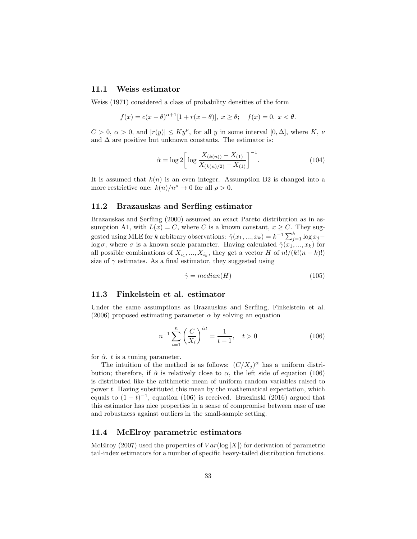#### 11.1 Weiss estimator

Weiss (1971) considered a class of probability densities of the form

$$
f(x) = c(x - \theta)^{\alpha + 1} [1 + r(x - \theta)], \ x \ge \theta; \quad f(x) = 0, \ x < \theta.
$$

 $C > 0, \alpha > 0$ , and  $|r(y)| \leq Ky^{\nu}$ , for all y in some interval  $[0, \Delta]$ , where K,  $\nu$ and  $\Delta$  are positive but unknown constants. The estimator is:

$$
\hat{\alpha} = \log 2 \left[ \log \frac{X_{(k(n))} - X_{(1)}}{X_{(k(n)/2)} - X_{(1)}} \right]^{-1}.
$$
\n(104)

It is assumed that  $k(n)$  is an even integer. Assumption B2 is changed into a more restrictive one:  $k(n)/n^{\rho} \to 0$  for all  $\rho > 0$ .

#### 11.2 Brazauskas and Serfling estimator

Brazauskas and Serfling (2000) assumed an exact Pareto distribution as in assumption A1, with  $L(x) = C$ , where C is a known constant,  $x \ge C$ . They suggested using MLE for k arbitrary observations:  $\hat{\gamma}(x_1, ..., x_k) = k^{-1} \sum_{j=1}^k \log x_j$ log  $\sigma$ , where  $\sigma$  is a known scale parameter. Having calculated  $\hat{\gamma}(x_1, ..., x_k)$  for all possible combinations of  $X_{i_1},...,X_{i_k}$ , they get a vector H of  $n!/(k!(n-k)!)$ size of  $\gamma$  estimates. As a final estimator, they suggested using

$$
\hat{\gamma} = median(H) \tag{105}
$$

#### 11.3 Finkelstein et al. estimator

Under the same assumptions as Brazauskas and Serfling, Finkelstein et al. (2006) proposed estimating parameter  $\alpha$  by solving an equation

$$
n^{-1} \sum_{i=1}^{n} \left(\frac{C}{X_i}\right)^{\hat{\alpha}t} = \frac{1}{t+1}, \quad t > 0
$$
 (106)

for  $\hat{\alpha}$ . t is a tuning parameter.

The intuition of the method is as follows:  $(C/X_j)^\alpha$  has a uniform distribution; therefore, if  $\hat{\alpha}$  is relatively close to  $\alpha$ , the left side of equation (106) is distributed like the arithmetic mean of uniform random variables raised to power t. Having substituted this mean by the mathematical expectation, which equals to  $(1 + t)^{-1}$ , equation (106) is received. Brzezinski (2016) argued that this estimator has nice properties in a sense of compromise between ease of use and robustness against outliers in the small-sample setting.

#### 11.4 McElroy parametric estimators

McElroy (2007) used the properties of  $Var(\log |X|)$  for derivation of parametric tail-index estimators for a number of specific heavy-tailed distribution functions.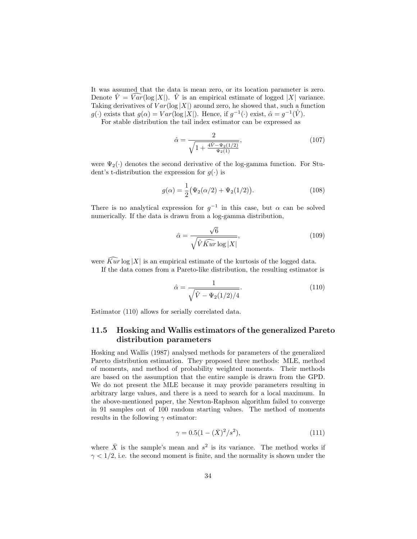It was assumed that the data is mean zero, or its location parameter is zero. Denote  $\hat{V} = \widehat{Var}(\log |X|)$ .  $\hat{V}$  is an empirical estimate of logged |X| variance. Taking derivatives of  $Var(\log |X|)$  around zero, he showed that, such a function  $g(\cdot)$  exists that  $g(\alpha) = Var(\log |X|)$ . Hence, if  $g^{-1}(\cdot)$  exist,  $\hat{\alpha} = g^{-1}(\hat{V})$ .

For stable distribution the tail index estimator can be expressed as

$$
\hat{\alpha} = \frac{2}{\sqrt{1 + \frac{4\hat{V} - \Psi_2(1/2)}{\Psi_2(1)}}},\tag{107}
$$

were  $\Psi_2(\cdot)$  denotes the second derivative of the log-gamma function. For Student's t-distribution the expression for  $g(\cdot)$  is

$$
g(\alpha) = \frac{1}{2} (\Psi_2(\alpha/2) + \Psi_2(1/2)).
$$
 (108)

There is no analytical expression for  $g^{-1}$  in this case, but  $\alpha$  can be solved numerically. If the data is drawn from a log-gamma distribution,

$$
\hat{\alpha} = \frac{\sqrt{6}}{\sqrt{\hat{V}\hat{K}\hat{u}r\log|X|}},\tag{109}
$$

were  $\widehat{Kur} \log |X|$  is an empirical estimate of the kurtosis of the logged data.

If the data comes from a Pareto-like distribution, the resulting estimator is

$$
\hat{\alpha} = \frac{1}{\sqrt{\hat{V} - \Psi_2(1/2)/4}}.\tag{110}
$$

Estimator (110) allows for serially correlated data.

# 11.5 Hosking and Wallis estimators of the generalized Pareto distribution parameters

Hosking and Wallis (1987) analysed methods for parameters of the generalized Pareto distribution estimation. They proposed three methods: MLE, method of moments, and method of probability weighted moments. Their methods are based on the assumption that the entire sample is drawn from the GPD. We do not present the MLE because it may provide parameters resulting in arbitrary large values, and there is a need to search for a local maximum. In the above-mentioned paper, the Newton-Raphson algorithm failed to converge in 91 samples out of 100 random starting values. The method of moments results in the following  $\gamma$  estimator:

$$
\gamma = 0.5(1 - (\bar{X})^2/s^2),\tag{111}
$$

where  $\bar{X}$  is the sample's mean and  $s^2$  is its variance. The method works if  $\gamma < 1/2$ , i.e. the second moment is finite, and the normality is shown under the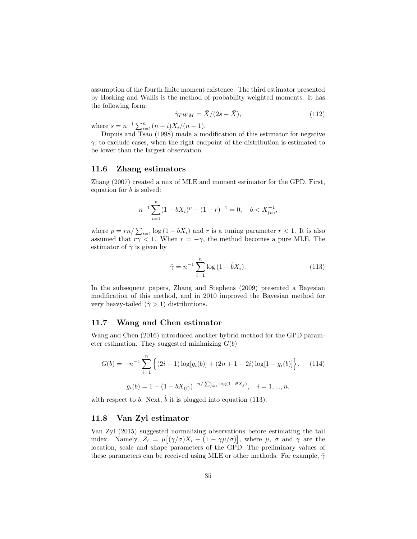assumption of the fourth finite moment existence. The third estimator presented by Hosking and Wallis is the method of probability weighted moments. It has the following form:

$$
\hat{\gamma}_{PWM} = \bar{X}/(2s - \bar{X}),\tag{112}
$$

where  $s = n^{-1} \sum_{i=1}^{n} (n-i) X_i / (n-1)$ .

Dupuis and Tsao (1998) made a modification of this estimator for negative  $\gamma$ , to exclude cases, when the right endpoint of the distribution is estimated to be lower than the largest observation.

#### 11.6 Zhang estimators

Zhang (2007) created a mix of MLE and moment estimator for the GPD. First, equation for b is solved:

$$
n^{-1} \sum_{i=1}^{n} (1 - bX_i)^p - (1 - r)^{-1} = 0, \quad b < X_{(n)}^{-1},
$$

where  $p = rn / \sum_{i=1} \log (1 - bX_i)$  and r is a tuning parameter  $r < 1$ . It is also assumed that  $r\gamma < 1$ . When  $r = -\gamma$ , the method becomes a pure MLE. The estimator of  $\hat{\gamma}$  is given by

$$
\hat{\gamma} = n^{-1} \sum_{i=1}^{n} \log(1 - \hat{b}X_i).
$$
 (113)

In the subsequent papers, Zhang and Stephens (2009) presented a Bayesian modification of this method, and in 2010 improved the Bayesian method for very heavy-tailed  $(\hat{\gamma} > 1)$  distributions.

#### 11.7 Wang and Chen estimator

Wang and Chen (2016) introduced another hybrid method for the GPD parameter estimation. They suggested minimizing  $G(b)$ 

$$
G(b) = -n^{-1} \sum_{i=1}^{n} \left\{ (2i - 1) \log[g_i(b)] + (2n + 1 - 2i) \log[1 - g_i(b)] \right\}.
$$
 (114)  

$$
g_i(b) = 1 - (1 - bX_{(i)})^{-n/\sum_{j=1}^{n} \log(1 - \theta X_j)}, \quad i = 1, ..., n.
$$

with respect to b. Next,  $\hat{b}$  it is plugged into equation (113).

# 11.8 Van Zyl estimator

Van Zyl (2015) suggested normalizing observations before estimating the tail index. Namely,  $Z_i = \mu[(\gamma/\sigma)X_i + (1 - \gamma\mu/\sigma)],$  where  $\mu$ ,  $\sigma$  and  $\gamma$  are the location, scale and shape parameters of the GPD. The preliminary values of these parameters can be received using MLE or other methods. For example,  $\hat{\gamma}$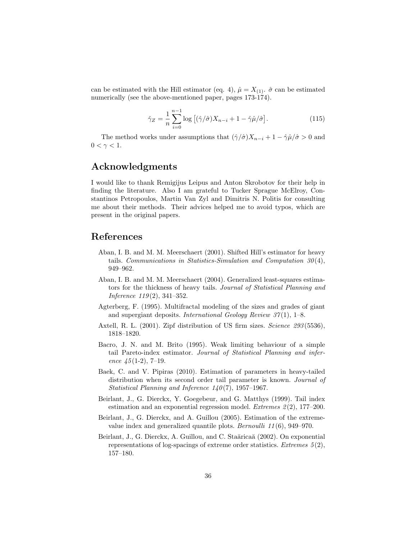can be estimated with the Hill estimator (eq. 4),  $\hat{\mu} = X_{(1)}$ .  $\hat{\sigma}$  can be estimated numerically (see the above-mentioned paper, pages 173-174).

$$
\hat{\gamma}_Z = \frac{1}{n} \sum_{i=0}^{n-1} \log \left[ (\hat{\gamma}/\hat{\sigma}) X_{n-i} + 1 - \hat{\gamma} \hat{\mu}/\hat{\sigma} \right]. \tag{115}
$$

The method works under assumptions that  $(\hat{\gamma}/\hat{\sigma})X_{n-i} + 1 - \hat{\gamma}\hat{\mu}/\hat{\sigma} > 0$  and  $0 < \gamma < 1$ .

# Acknowledgments

I would like to thank Remigijus Leipus and Anton Skrobotov for their help in finding the literature. Also I am grateful to Tucker Sprague McElroy, Constantinos Petropoulos, Martin Van Zyl and Dimitris N. Politis for consulting me about their methods. Their advices helped me to avoid typos, which are present in the original papers.

# References

- Aban, I. B. and M. M. Meerschaert (2001). Shifted Hill's estimator for heavy tails. Communications in Statistics-Simulation and Computation  $30(4)$ , 949–962.
- Aban, I. B. and M. M. Meerschaert (2004). Generalized least-squares estimators for the thickness of heavy tails. Journal of Statistical Planning and Inference  $119(2)$ , 341-352.
- Agterberg, F. (1995). Multifractal modeling of the sizes and grades of giant and supergiant deposits. International Geology Review  $37(1)$ , 1–8.
- Axtell, R. L. (2001). Zipf distribution of US firm sizes. Science 293(5536), 1818–1820.
- Bacro, J. N. and M. Brito (1995). Weak limiting behaviour of a simple tail Pareto-index estimator. Journal of Statistical Planning and inference  $\angle 45(1-2)$ , 7-19.
- Baek, C. and V. Pipiras (2010). Estimation of parameters in heavy-tailed distribution when its second order tail parameter is known. *Journal of* Statistical Planning and Inference  $140(7)$ , 1957–1967.
- Beirlant, J., G. Dierckx, Y. Goegebeur, and G. Matthys (1999). Tail index estimation and an exponential regression model. *Extremes*  $2(2)$ , 177–200.
- Beirlant, J., G. Dierckx, and A. Guillou (2005). Estimation of the extremevalue index and generalized quantile plots. Bernoulli 11 (6), 949–970.
- Beirlant, J., G. Dierckx, A. Guillou, and C. Staăricaă (2002). On exponential representations of log-spacings of extreme order statistics. Extremes  $5(2)$ , 157–180.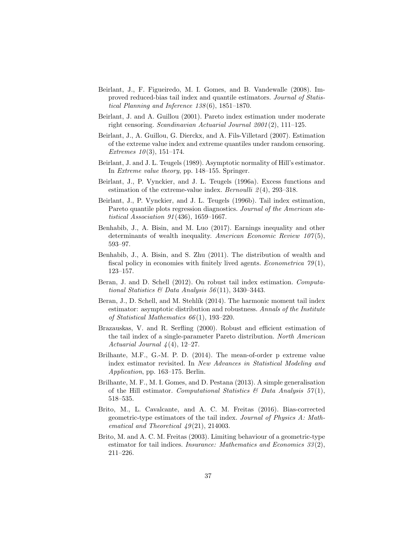- Beirlant, J., F. Figueiredo, M. I. Gomes, and B. Vandewalle (2008). Improved reduced-bias tail index and quantile estimators. Journal of Statistical Planning and Inference 138 (6), 1851–1870.
- Beirlant, J. and A. Guillou (2001). Pareto index estimation under moderate right censoring. Scandinavian Actuarial Journal 2001 (2), 111–125.
- Beirlant, J., A. Guillou, G. Dierckx, and A. Fils-Villetard (2007). Estimation of the extreme value index and extreme quantiles under random censoring. Extremes  $10(3)$ , 151–174.
- Beirlant, J. and J. L. Teugels (1989). Asymptotic normality of Hill's estimator. In Extreme value theory, pp. 148–155. Springer.
- Beirlant, J., P. Vynckier, and J. L. Teugels (1996a). Excess functions and estimation of the extreme-value index. Bernoulli  $2(4)$ , 293-318.
- Beirlant, J., P. Vynckier, and J. L. Teugels (1996b). Tail index estimation, Pareto quantile plots regression diagnostics. Journal of the American statistical Association 91 (436), 1659–1667.
- Benhabib, J., A. Bisin, and M. Luo (2017). Earnings inequality and other determinants of wealth inequality. American Economic Review  $107(5)$ , 593–97.
- Benhabib, J., A. Bisin, and S. Zhu (2011). The distribution of wealth and fiscal policy in economies with finitely lived agents. *Econometrica*  $79(1)$ , 123–157.
- Beran, J. and D. Schell (2012). On robust tail index estimation. Computational Statistics & Data Analysis  $56(11)$ , 3430-3443.
- Beran, J., D. Schell, and M. Stehlík (2014). The harmonic moment tail index estimator: asymptotic distribution and robustness. Annals of the Institute of Statistical Mathematics  $66(1)$ , 193-220.
- Brazauskas, V. and R. Serfling (2000). Robust and efficient estimation of the tail index of a single-parameter Pareto distribution. North American Actuarial Journal  $\mathcal{A}(4)$ , 12–27.
- Brilhante, M.F., G.-M. P. D. (2014). The mean-of-order p extreme value index estimator revisited. In New Advances in Statistical Modeling and Application, pp. 163–175. Berlin.
- Brilhante, M. F., M. I. Gomes, and D. Pestana (2013). A simple generalisation of the Hill estimator. Computational Statistics  $\mathcal{B}$  Data Analysis 57(1), 518–535.
- Brito, M., L. Cavalcante, and A. C. M. Freitas (2016). Bias-corrected geometric-type estimators of the tail index. Journal of Physics A: Mathematical and Theoretical  $49(21)$ , 214003.
- Brito, M. and A. C. M. Freitas (2003). Limiting behaviour of a geometric-type estimator for tail indices. *Insurance: Mathematics and Economics 33*(2), 211–226.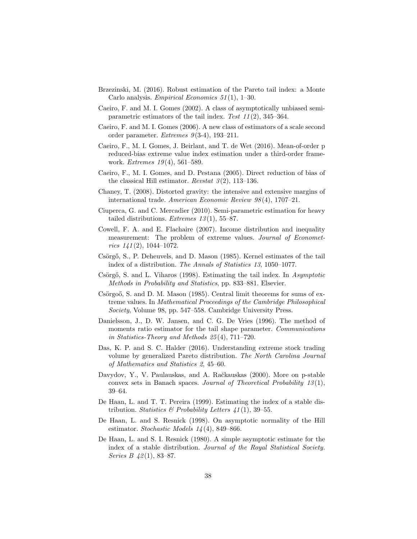- Brzezinski, M. (2016). Robust estimation of the Pareto tail index: a Monte Carlo analysis. *Empirical Economics* 51(1), 1–30.
- Caeiro, F. and M. I. Gomes (2002). A class of asymptotically unbiased semiparametric estimators of the tail index. Test  $11(2)$ , 345–364.
- Caeiro, F. and M. I. Gomes (2006). A new class of estimators of a scale second order parameter. Extremes  $9(3-4)$ , 193-211.
- Caeiro, F., M. I. Gomes, J. Beirlant, and T. de Wet (2016). Mean-of-order p reduced-bias extreme value index estimation under a third-order framework. *Extremes* 19(4), 561-589.
- Caeiro, F., M. I. Gomes, and D. Pestana (2005). Direct reduction of bias of the classical Hill estimator. Revstat  $\mathfrak{I}(2)$ , 113–136.
- Chaney, T. (2008). Distorted gravity: the intensive and extensive margins of international trade. American Economic Review 98 (4), 1707–21.
- Ciuperca, G. and C. Mercadier (2010). Semi-parametric estimation for heavy tailed distributions. *Extremes*  $13(1)$ , 55–87.
- Cowell, F. A. and E. Flachaire (2007). Income distribution and inequality measurement: The problem of extreme values. Journal of Econometrics  $141(2)$ , 1044-1072.
- Csörgő, S., P. Deheuvels, and D. Mason (1985). Kernel estimates of the tail index of a distribution. The Annals of Statistics 13, 1050–1077.
- Csörgő, S. and L. Viharos (1998). Estimating the tail index. In Asymptotic Methods in Probability and Statistics, pp. 833–881. Elsevier.
- Csörgoő, S. and D. M. Mason  $(1985)$ . Central limit theorems for sums of extreme values. In Mathematical Proceedings of the Cambridge Philosophical Society, Volume 98, pp. 547–558. Cambridge University Press.
- Danielsson, J., D. W. Jansen, and C. G. De Vries (1996). The method of moments ratio estimator for the tail shape parameter. Communications in Statistics-Theory and Methods 25 (4), 711–720.
- Das, K. P. and S. C. Halder (2016). Understanding extreme stock trading volume by generalized Pareto distribution. The North Carolina Journal of Mathematics and Statistics 2, 45–60.
- Davydov, Y., V. Paulauskas, and A. Račkauskas (2000). More on p-stable convex sets in Banach spaces. Journal of Theoretical Probability  $13(1)$ , 39–64.
- De Haan, L. and T. T. Pereira (1999). Estimating the index of a stable distribution. Statistics  $\mathcal B$  Probability Letters 41(1), 39–55.
- De Haan, L. and S. Resnick (1998). On asymptotic normality of the Hill estimator. Stochastic Models  $14(4)$ , 849–866.
- De Haan, L. and S. I. Resnick (1980). A simple asymptotic estimate for the index of a stable distribution. Journal of the Royal Statistical Society. Series B  $42(1)$ , 83-87.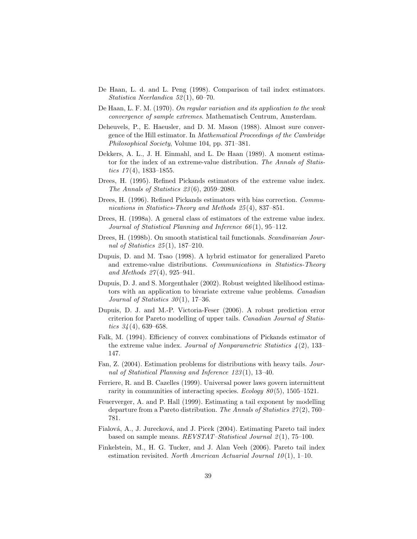- De Haan, L. d. and L. Peng (1998). Comparison of tail index estimators. Statistica Neerlandica 52 (1), 60–70.
- De Haan, L. F. M. (1970). On regular variation and its application to the weak convergence of sample extremes. Mathematisch Centrum, Amsterdam.
- Deheuvels, P., E. Haeusler, and D. M. Mason (1988). Almost sure convergence of the Hill estimator. In Mathematical Proceedings of the Cambridge Philosophical Society, Volume 104, pp. 371–381.
- Dekkers, A. L., J. H. Einmahl, and L. De Haan (1989). A moment estimator for the index of an extreme-value distribution. The Annals of Statistics  $17(4)$ , 1833–1855.
- Drees, H. (1995). Refined Pickands estimators of the extreme value index. The Annals of Statistics 23 (6), 2059–2080.
- Drees, H. (1996). Refined Pickands estimators with bias correction. Communications in Statistics-Theory and Methods 25(4), 837–851.
- Drees, H. (1998a). A general class of estimators of the extreme value index. Journal of Statistical Planning and Inference 66 (1), 95–112.
- Drees, H. (1998b). On smooth statistical tail functionals. Scandinavian Journal of Statistics 25 (1), 187–210.
- Dupuis, D. and M. Tsao (1998). A hybrid estimator for generalized Pareto and extreme-value distributions. Communications in Statistics-Theory and Methods 27 (4), 925–941.
- Dupuis, D. J. and S. Morgenthaler (2002). Robust weighted likelihood estimators with an application to bivariate extreme value problems. Canadian Journal of Statistics  $30(1)$ , 17-36.
- Dupuis, D. J. and M.-P. Victoria-Feser (2006). A robust prediction error criterion for Pareto modelling of upper tails. Canadian Journal of Statistics  $34(4)$ , 639–658.
- Falk, M. (1994). Efficiency of convex combinations of Pickands estimator of the extreme value index. Journal of Nonparametric Statistics  $\lambda(2)$ , 133– 147.
- Fan, Z. (2004). Estimation problems for distributions with heavy tails. Journal of Statistical Planning and Inference 123 (1), 13–40.
- Ferriere, R. and B. Cazelles (1999). Universal power laws govern intermittent rarity in communities of interacting species. Ecology  $80(5)$ , 1505–1521.
- Feuerverger, A. and P. Hall (1999). Estimating a tail exponent by modelling departure from a Pareto distribution. The Annals of Statistics  $27(2)$ , 760– 781.
- Fialová, A., J. Jurecková, and J. Picek (2004). Estimating Pareto tail index based on sample means.  $REVSTAT-Statistical\ Journal\ 2(1), 75-100.$
- Finkelstein, M., H. G. Tucker, and J. Alan Veeh (2006). Pareto tail index estimation revisited. North American Actuarial Journal  $10(1)$ , 1–10.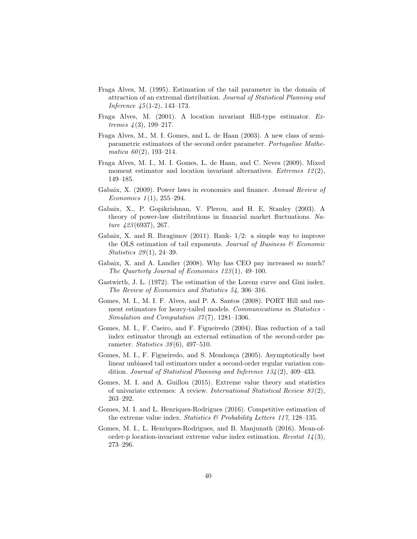- Fraga Alves, M. (1995). Estimation of the tail parameter in the domain of attraction of an extremal distribution. Journal of Statistical Planning and Inference 45 (1-2), 143–173.
- Fraga Alves, M. (2001). A location invariant Hill-type estimator. Extremes  $\frac{1}{3}$ , 199–217.
- Fraga Alves, M., M. I. Gomes, and L. de Haan (2003). A new class of semiparametric estimators of the second order parameter. Portugaliae Mathematica  $60(2)$ , 193-214.
- Fraga Alves, M. I., M. I. Gomes, L. de Haan, and C. Neves (2009). Mixed moment estimator and location invariant alternatives. Extremes  $12(2)$ , 149–185.
- Gabaix, X. (2009). Power laws in economics and finance. Annual Review of Economics  $1(1)$ , 255–294.
- Gabaix, X., P. Gopikrishnan, V. Plerou, and H. E. Stanley (2003). A theory of power-law distributions in financial market fluctuations. Nature 423 (6937), 267.
- Gabaix, X. and R. Ibragimov (2011). Rank- 1/2: a simple way to improve the OLS estimation of tail exponents. Journal of Business  $\mathcal B$  Economic Statistics 29(1), 24-39.
- Gabaix, X. and A. Landier (2008). Why has CEO pay increased so much? The Quarterly Journal of Economics 123 (1), 49–100.
- Gastwirth, J. L. (1972). The estimation of the Lorenz curve and Gini index. The Review of Economics and Statistics 54, 306–316.
- Gomes, M. I., M. I. F. Alves, and P. A. Santos (2008). PORT Hill and moment estimators for heavy-tailed models. Communications in Statistics -Simulation and Computation  $37(7)$ , 1281–1306.
- Gomes, M. I., F. Caeiro, and F. Figueiredo (2004). Bias reduction of a tail index estimator through an external estimation of the second-order parameter. Statistics  $38(6)$ , 497-510.
- Gomes, M. I., F. Figueiredo, and S. Mendonça (2005). Asymptotically best linear unbiased tail estimators under a second-order regular variation condition. Journal of Statistical Planning and Inference 134 (2), 409–433.
- Gomes, M. I. and A. Guillou (2015). Extreme value theory and statistics of univariate extremes: A review. International Statistical Review 83 (2), 263–292.
- Gomes, M. I. and L. Henriques-Rodrigues (2016). Competitive estimation of the extreme value index. Statistics  $\mathcal{B}$  Probability Letters 117, 128–135.
- Gomes, M. I., L. Henriques-Rodrigues, and B. Manjunath (2016). Mean-oforder-p location-invariant extreme value index estimation. Revstat  $1/4(3)$ , 273–296.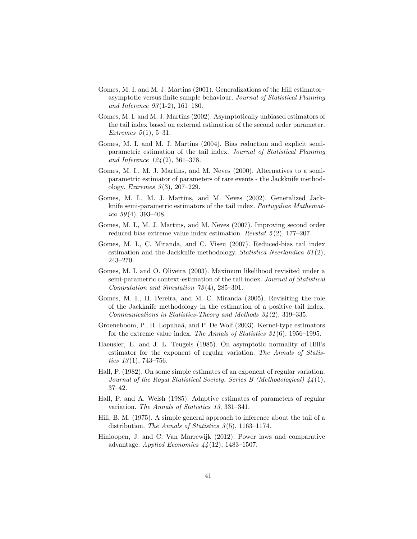- Gomes, M. I. and M. J. Martins (2001). Generalizations of the Hill estimator– asymptotic versus finite sample behaviour. Journal of Statistical Planning and Inference  $93(1-2)$ , 161-180.
- Gomes, M. I. and M. J. Martins (2002). Asymptotically unbiased estimators of the tail index based on external estimation of the second order parameter. Extremes  $5(1), 5-31.$
- Gomes, M. I. and M. J. Martins (2004). Bias reduction and explicit semiparametric estimation of the tail index. Journal of Statistical Planning and Inference 124 (2), 361–378.
- Gomes, M. I., M. J. Martins, and M. Neves (2000). Alternatives to a semiparametric estimator of parameters of rare events - the Jackknife methodology. *Extremes*  $3(3)$ , 207–229.
- Gomes, M. I., M. J. Martins, and M. Neves (2002). Generalized Jackknife semi-parametric estimators of the tail index. Portugaliae Mathematica  $59(4)$ , 393-408.
- Gomes, M. I., M. J. Martins, and M. Neves (2007). Improving second order reduced bias extreme value index estimation. Revstat  $5(2)$ , 177–207.
- Gomes, M. I., C. Miranda, and C. Viseu (2007). Reduced-bias tail index estimation and the Jackknife methodology. Statistica Neerlandica 61(2), 243–270.
- Gomes, M. I. and O. Oliveira (2003). Maximum likelihood revisited under a semi-parametric context-estimation of the tail index. Journal of Statistical Computation and Simulation 73 (4), 285–301.
- Gomes, M. I., H. Pereira, and M. C. Miranda (2005). Revisiting the role of the Jackknife methodology in the estimation of a positive tail index. Communications in Statistics-Theory and Methods  $34(2)$ , 319–335.
- Groeneboom, P., H. Lopuhaä, and P. De Wolf (2003). Kernel-type estimators for the extreme value index. The Annals of Statistics 31 (6), 1956–1995.
- Haeusler, E. and J. L. Teugels (1985). On asymptotic normality of Hill's estimator for the exponent of regular variation. The Annals of Statistics  $13(1)$ , 743–756.
- Hall, P. (1982). On some simple estimates of an exponent of regular variation. Journal of the Royal Statistical Society. Series B (Methodological) 44 (1), 37–42.
- Hall, P. and A. Welsh (1985). Adaptive estimates of parameters of regular variation. The Annals of Statistics 13, 331–341.
- Hill, B. M. (1975). A simple general approach to inference about the tail of a distribution. The Annals of Statistics  $3(5)$ , 1163–1174.
- Hinloopen, J. and C. Van Marrewijk (2012). Power laws and comparative advantage. Applied Economics  $44(12)$ , 1483-1507.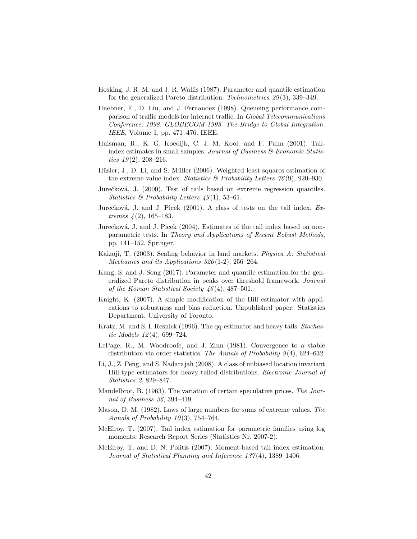- Hosking, J. R. M. and J. R. Wallis (1987). Parameter and quantile estimation for the generalized Pareto distribution. Technometrics 29 (3), 339–349.
- Huebner, F., D. Liu, and J. Fernandez (1998). Queueing performance comparison of traffic models for internet traffic. In Global Telecommunications Conference, 1998. GLOBECOM 1998. The Bridge to Global Integration. IEEE, Volume 1, pp. 471–476. IEEE.
- Huisman, R., K. G. Koedijk, C. J. M. Kool, and F. Palm (2001). Tailindex estimates in small samples. Journal of Business  $\mathcal C$  Economic Statistics  $19(2)$ ,  $208-216$ .
- Hüsler, J., D. Li, and S. Müller (2006). Weighted least squares estimation of the extreme value index. Statistics  $\mathcal{B}$  Probability Letters 76(9), 920–930.
- Jurečková, J. (2000). Test of tails based on extreme regression quantiles. Statistics & Probability Letters  $49(1)$ , 53-61.
- Jurečková, J. and J. Picek  $(2001)$ . A class of tests on the tail index. Extremes  $\frac{4(2)}{165-183}$ .
- Jurečková, J. and J. Picek (2004). Estimates of the tail index based on nonparametric tests. In Theory and Applications of Recent Robust Methods, pp. 141–152. Springer.
- Kaizoji, T. (2003). Scaling behavior in land markets. Physica A: Statistical Mechanics and its Applications  $326(1-2)$ , 256-264.
- Kang, S. and J. Song (2017). Parameter and quantile estimation for the generalized Pareto distribution in peaks over threshold framework. Journal of the Korean Statistical Society 46 (4), 487–501.
- Knight, K. (2007). A simple modification of the Hill estimator with applications to robustness and bias reduction. Unpublished paper: Statistics Department, University of Toronto.
- Kratz, M. and S. I. Resnick (1996). The qq-estimator and heavy tails. Stochastic Models 12 (4), 699–724.
- LePage, R., M. Woodroofe, and J. Zinn (1981). Convergence to a stable distribution via order statistics. The Annals of Probability  $9(4)$ , 624–632.
- Li, J., Z. Peng, and S. Nadarajah (2008). A class of unbiased location invariant Hill-type estimators for heavy tailed distributions. Electronic Journal of Statistics 2, 829–847.
- Mandelbrot, B. (1963). The variation of certain speculative prices. The Journal of Business 36, 394–419.
- Mason, D. M. (1982). Laws of large numbers for sums of extreme values. The Annals of Probability  $10(3)$ , 754–764.
- McElroy, T. (2007). Tail index estimation for parametric families using log moments. Research Report Series (Statistics Nr. 2007-2).
- McElroy, T. and D. N. Politis (2007). Moment-based tail index estimation. Journal of Statistical Planning and Inference 137 (4), 1389–1406.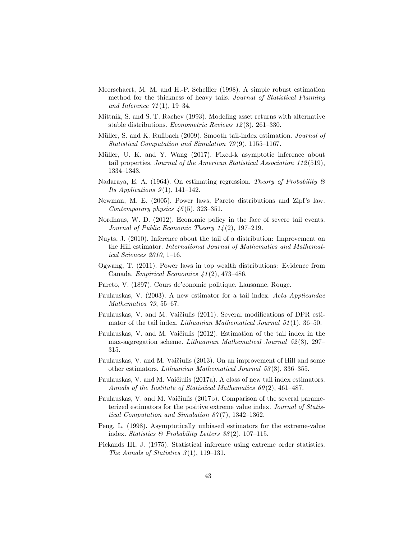- Meerschaert, M. M. and H.-P. Scheffler (1998). A simple robust estimation method for the thickness of heavy tails. Journal of Statistical Planning and Inference  $71(1)$ , 19-34.
- Mittnik, S. and S. T. Rachev (1993). Modeling asset returns with alternative stable distributions. Econometric Reviews 12 (3), 261–330.
- Müller, S. and K. Rufibach (2009). Smooth tail-index estimation. *Journal of* Statistical Computation and Simulation  $79(9)$ , 1155–1167.
- Müller, U. K. and Y. Wang (2017). Fixed-k asymptotic inference about tail properties. Journal of the American Statistical Association 112 (519), 1334–1343.
- Nadaraya, E. A. (1964). On estimating regression. Theory of Probability  $\mathscr B$ Its Applications  $9(1)$ , 141-142.
- Newman, M. E. (2005). Power laws, Pareto distributions and Zipf's law. Contemporary physics  $46(5)$ , 323-351.
- Nordhaus, W. D. (2012). Economic policy in the face of severe tail events. Journal of Public Economic Theory  $14(2)$ , 197–219.
- Nuyts, J. (2010). Inference about the tail of a distribution: Improvement on the Hill estimator. International Journal of Mathematics and Mathematical Sciences 2010, 1–16.
- Ogwang, T. (2011). Power laws in top wealth distributions: Evidence from Canada. Empirical Economics 41 (2), 473–486.
- Pareto, V. (1897). Cours de'conomie politique. Lausanne, Rouge.
- Paulauskas, V. (2003). A new estimator for a tail index. Acta Applicandae Mathematica 79, 55–67.
- Paulauskas, V. and M. Vaičiulis (2011). Several modifications of DPR estimator of the tail index. Lithuanian Mathematical Journal  $51(1)$ , 36–50.
- Paulauskas, V. and M. Vaičiulis (2012). Estimation of the tail index in the max-aggregation scheme. Lithuanian Mathematical Journal 52 (3), 297– 315.
- Paulauskas, V. and M. Vaičiulis (2013). On an improvement of Hill and some other estimators. Lithuanian Mathematical Journal 53 (3), 336–355.
- Paulauskas, V. and M. Vaičiulis (2017a). A class of new tail index estimators. Annals of the Institute of Statistical Mathematics  $69(2)$ , 461–487.
- Paulauskas, V. and M. Vaičiulis (2017b). Comparison of the several parameterized estimators for the positive extreme value index. Journal of Statistical Computation and Simulation 87 (7), 1342–1362.
- Peng, L. (1998). Asymptotically unbiased estimators for the extreme-value index. Statistics & Probability Letters  $38(2)$ , 107-115.
- Pickands III, J. (1975). Statistical inference using extreme order statistics. The Annals of Statistics  $3(1)$ , 119–131.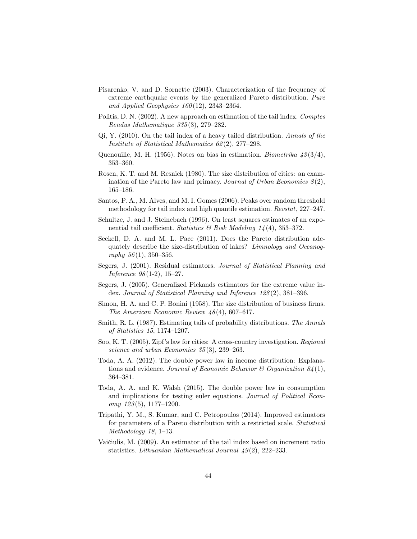- Pisarenko, V. and D. Sornette (2003). Characterization of the frequency of extreme earthquake events by the generalized Pareto distribution. Pure and Applied Geophysics  $160(12)$ , 2343-2364.
- Politis, D. N. (2002). A new approach on estimation of the tail index. Comptes Rendus Mathematique 335 (3), 279–282.
- Qi, Y. (2010). On the tail index of a heavy tailed distribution. Annals of the Institute of Statistical Mathematics 62 (2), 277–298.
- Quenouille, M. H. (1956). Notes on bias in estimation. *Biometrika*  $\frac{43(3/4)}{3}$ , 353–360.
- Rosen, K. T. and M. Resnick (1980). The size distribution of cities: an examination of the Pareto law and primacy. Journal of Urban Economics  $\mathcal{S}(2)$ , 165–186.
- Santos, P. A., M. Alves, and M. I. Gomes (2006). Peaks over random threshold methodology for tail index and high quantile estimation. Revstat, 227–247.
- Schultze, J. and J. Steinebach (1996). On least squares estimates of an exponential tail coefficient. Statistics & Risk Modeling  $14(4)$ , 353-372.
- Seekell, D. A. and M. L. Pace (2011). Does the Pareto distribution adequately describe the size-distribution of lakes? Limnology and Oceanography  $56(1)$ , 350-356.
- Segers, J. (2001). Residual estimators. Journal of Statistical Planning and Inference 98 (1-2), 15–27.
- Segers, J. (2005). Generalized Pickands estimators for the extreme value index. Journal of Statistical Planning and Inference 128(2), 381–396.
- Simon, H. A. and C. P. Bonini (1958). The size distribution of business firms. The American Economic Review 48 (4), 607–617.
- Smith, R. L. (1987). Estimating tails of probability distributions. The Annals of Statistics 15, 1174–1207.
- Soo, K. T. (2005). Zipf's law for cities: A cross-country investigation. Regional science and urban Economics 35(3), 239–263.
- Toda, A. A. (2012). The double power law in income distribution: Explanations and evidence. Journal of Economic Behavior  $\mathcal{B}$  Organization  $\mathcal{S}_4(1)$ , 364–381.
- Toda, A. A. and K. Walsh (2015). The double power law in consumption and implications for testing euler equations. Journal of Political Econ $omy\ 123(5),\ 1177-1200.$
- Tripathi, Y. M., S. Kumar, and C. Petropoulos (2014). Improved estimators for parameters of a Pareto distribution with a restricted scale. Statistical Methodology 18, 1–13.
- Vaičiulis, M. (2009). An estimator of the tail index based on increment ratio statistics. Lithuanian Mathematical Journal  $\mu$ 9(2), 222–233.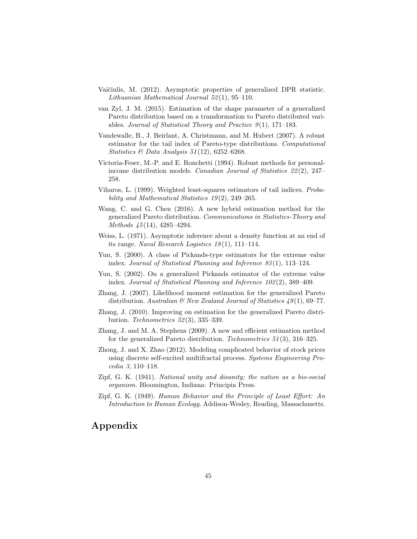- Vaičiulis, M. (2012). Asymptotic properties of generalized DPR statistic. Lithuanian Mathematical Journal  $52(1)$ , 95-110.
- van Zyl, J. M. (2015). Estimation of the shape parameter of a generalized Pareto distribution based on a transformation to Pareto distributed variables. Journal of Statistical Theory and Practice  $9(1)$ , 171–183.
- Vandewalle, B., J. Beirlant, A. Christmann, and M. Hubert (2007). A robust estimator for the tail index of Pareto-type distributions. Computational Statistics & Data Analysis  $51(12)$ , 6252-6268.
- Victoria-Feser, M.-P. and E. Ronchetti (1994). Robust methods for personalincome distribution models. Canadian Journal of Statistics 22 (2), 247– 258.
- Viharos, L. (1999). Weighted least-squares estimators of tail indices. Probability and Mathematical Statistics  $19(2)$ , 249-265.
- Wang, C. and G. Chen (2016). A new hybrid estimation method for the generalized Pareto distribution. Communications in Statistics-Theory and Methods 45 (14), 4285–4294.
- Weiss, L. (1971). Asymptotic inference about a density function at an end of its range. Naval Research Logistics  $18(1)$ , 111–114.
- Yun, S. (2000). A class of Pickands-type estimators for the extreme value index. Journal of Statistical Planning and Inference 83 (1), 113–124.
- Yun, S. (2002). On a generalized Pickands estimator of the extreme value index. Journal of Statistical Planning and Inference 102 (2), 389–409.
- Zhang, J. (2007). Likelihood moment estimation for the generalized Pareto distribution. Australian  $\mathcal{B}$  New Zealand Journal of Statistics 49(1), 69–77.
- Zhang, J. (2010). Improving on estimation for the generalized Pareto distribution. Technometrics 52 (3), 335–339.
- Zhang, J. and M. A. Stephens (2009). A new and efficient estimation method for the generalized Pareto distribution. Technometrics 51 (3), 316–325.
- Zhong, J. and X. Zhao (2012). Modeling complicated behavior of stock prices using discrete self-excited multifractal process. Systems Engineering Procedia 3, 110–118.
- Zipf, G. K. (1941). National unity and disunity; the nation as a bio-social organism. Bloomington, Indiana: Principia Press.
- Zipf, G. K. (1949). Human Behavior and the Principle of Least Effort: An Introduction to Human Ecology. Addison-Wesley, Reading, Massachusetts.

# Appendix